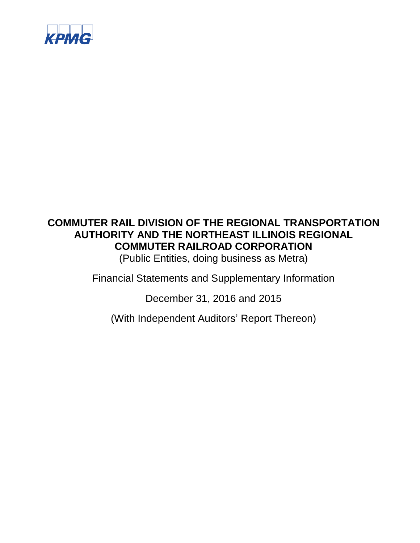

(Public Entities, doing business as Metra)

Financial Statements and Supplementary Information

December 31, 2016 and 2015

(With Independent Auditors' Report Thereon)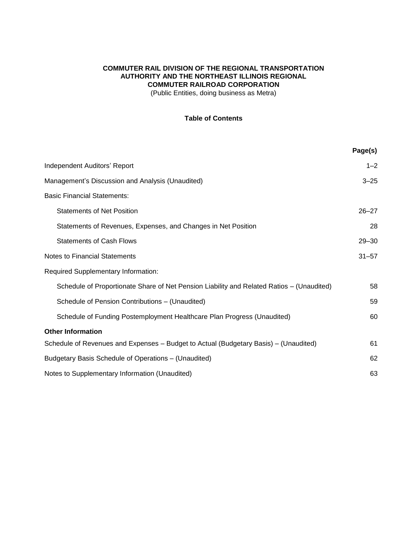(Public Entities, doing business as Metra)

### **Table of Contents**

|                                                                                           | Page(s)   |
|-------------------------------------------------------------------------------------------|-----------|
| Independent Auditors' Report                                                              | $1 - 2$   |
| Management's Discussion and Analysis (Unaudited)                                          | $3 - 25$  |
| <b>Basic Financial Statements:</b>                                                        |           |
| <b>Statements of Net Position</b>                                                         | $26 - 27$ |
| Statements of Revenues, Expenses, and Changes in Net Position                             | 28        |
| <b>Statements of Cash Flows</b>                                                           | $29 - 30$ |
| <b>Notes to Financial Statements</b>                                                      | $31 - 57$ |
| Required Supplementary Information:                                                       |           |
| Schedule of Proportionate Share of Net Pension Liability and Related Ratios - (Unaudited) | 58        |
| Schedule of Pension Contributions - (Unaudited)                                           | 59        |
| Schedule of Funding Postemployment Healthcare Plan Progress (Unaudited)                   | 60        |
| <b>Other Information</b>                                                                  |           |
| Schedule of Revenues and Expenses - Budget to Actual (Budgetary Basis) - (Unaudited)      | 61        |
| Budgetary Basis Schedule of Operations - (Unaudited)                                      | 62        |
| Notes to Supplementary Information (Unaudited)                                            | 63        |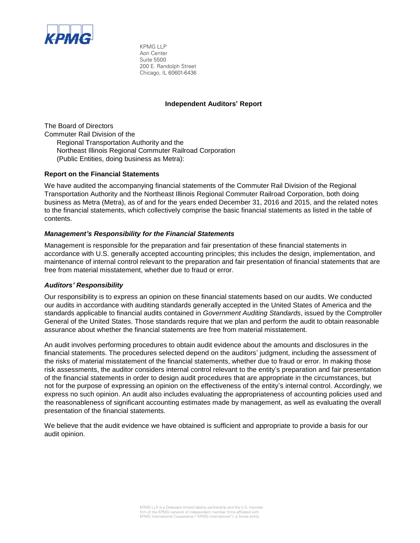

KPMG LLP Aon Center Suite 5500 200 E. Randolph Street Chicago, IL 60601-6436

### **Independent Auditors' Report**

The Board of Directors Commuter Rail Division of the Regional Transportation Authority and the Northeast Illinois Regional Commuter Railroad Corporation (Public Entities, doing business as Metra):

### **Report on the Financial Statements**

We have audited the accompanying financial statements of the Commuter Rail Division of the Regional Transportation Authority and the Northeast Illinois Regional Commuter Railroad Corporation, both doing business as Metra (Metra), as of and for the years ended December 31, 2016 and 2015, and the related notes to the financial statements, which collectively comprise the basic financial statements as listed in the table of contents.

### *Management's Responsibility for the Financial Statements*

Management is responsible for the preparation and fair presentation of these financial statements in accordance with U.S. generally accepted accounting principles; this includes the design, implementation, and maintenance of internal control relevant to the preparation and fair presentation of financial statements that are free from material misstatement, whether due to fraud or error.

#### *Auditors' Responsibility*

Our responsibility is to express an opinion on these financial statements based on our audits. We conducted our audits in accordance with auditing standards generally accepted in the United States of America and the standards applicable to financial audits contained in *Government Auditing Standards*, issued by the Comptroller General of the United States. Those standards require that we plan and perform the audit to obtain reasonable assurance about whether the financial statements are free from material misstatement.

An audit involves performing procedures to obtain audit evidence about the amounts and disclosures in the financial statements. The procedures selected depend on the auditors' judgment, including the assessment of the risks of material misstatement of the financial statements, whether due to fraud or error. In making those risk assessments, the auditor considers internal control relevant to the entity's preparation and fair presentation of the financial statements in order to design audit procedures that are appropriate in the circumstances, but not for the purpose of expressing an opinion on the effectiveness of the entity's internal control. Accordingly, we express no such opinion. An audit also includes evaluating the appropriateness of accounting policies used and the reasonableness of significant accounting estimates made by management, as well as evaluating the overall presentation of the financial statements.

We believe that the audit evidence we have obtained is sufficient and appropriate to provide a basis for our audit opinion.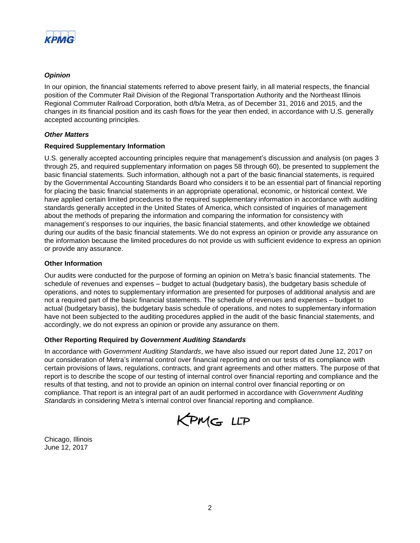

### *Opinion*

In our opinion, the financial statements referred to above present fairly, in all material respects, the financial position of the Commuter Rail Division of the Regional Transportation Authority and the Northeast Illinois Regional Commuter Railroad Corporation, both d/b/a Metra, as of December 31, 2016 and 2015, and the changes in its financial position and its cash flows for the year then ended, in accordance with U.S. generally accepted accounting principles.

### *Other Matters*

#### **Required Supplementary Information**

U.S. generally accepted accounting principles require that management's discussion and analysis (on pages 3 through 25, and required supplementary information on pages 58 through 60), be presented to supplement the basic financial statements. Such information, although not a part of the basic financial statements, is required by the Governmental Accounting Standards Board who considers it to be an essential part of financial reporting for placing the basic financial statements in an appropriate operational, economic, or historical context. We have applied certain limited procedures to the required supplementary information in accordance with auditing standards generally accepted in the United States of America, which consisted of inquiries of management about the methods of preparing the information and comparing the information for consistency with management's responses to our inquiries, the basic financial statements, and other knowledge we obtained during our audits of the basic financial statements. We do not express an opinion or provide any assurance on the information because the limited procedures do not provide us with sufficient evidence to express an opinion or provide any assurance.

### **Other Information**

Our audits were conducted for the purpose of forming an opinion on Metra's basic financial statements. The schedule of revenues and expenses – budget to actual (budgetary basis), the budgetary basis schedule of operations, and notes to supplementary information are presented for purposes of additional analysis and are not a required part of the basic financial statements. The schedule of revenues and expenses – budget to actual (budgetary basis), the budgetary basis schedule of operations, and notes to supplementary information have not been subjected to the auditing procedures applied in the audit of the basic financial statements, and accordingly, we do not express an opinion or provide any assurance on them.

#### **Other Reporting Required by** *Government Auditing Standards*

In accordance with *Government Auditing Standards*, we have also issued our report dated June 12, 2017 on our consideration of Metra's internal control over financial reporting and on our tests of its compliance with certain provisions of laws, regulations, contracts, and grant agreements and other matters. The purpose of that report is to describe the scope of our testing of internal control over financial reporting and compliance and the results of that testing, and not to provide an opinion on internal control over financial reporting or on compliance. That report is an integral part of an audit performed in accordance with *Government Auditing Standards* in considering Metra's internal control over financial reporting and compliance.



Chicago, Illinois June 12, 2017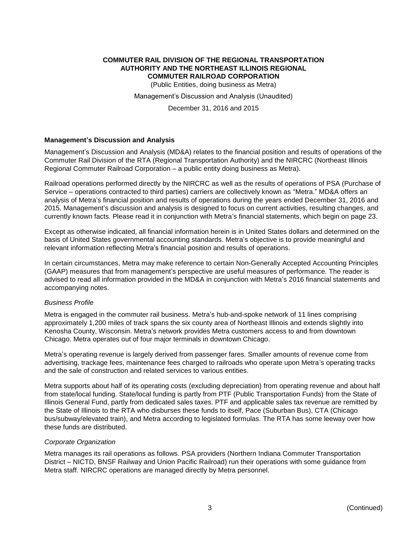(Public Entities, doing business as Metra)

Management's Discussion and Analysis (Unaudited)

December 31, 2016 and 2015

#### **Management's Discussion and Analysis**

Management's Discussion and Analysis (MD&A) relates to the financial position and results of operations of the Commuter Rail Division of the RTA (Regional Transportation Authority) and the NIRCRC (Northeast Illinois Regional Commuter Railroad Corporation – a public entity doing business as Metra).

Railroad operations performed directly by the NIRCRC as well as the results of operations of PSA (Purchase of Service – operations contracted to third parties) carriers are collectively known as "Metra." MD&A offers an analysis of Metra's financial position and results of operations during the years ended December 31, 2016 and 2015. Management's discussion and analysis is designed to focus on current activities, resulting changes, and currently known facts. Please read it in conjunction with Metra's financial statements, which begin on page 23.

Except as otherwise indicated, all financial information herein is in United States dollars and determined on the basis of United States governmental accounting standards. Metra's objective is to provide meaningful and relevant information reflecting Metra's financial position and results of operations.

In certain circumstances, Metra may make reference to certain Non-Generally Accepted Accounting Principles (GAAP) measures that from management's perspective are useful measures of performance. The reader is advised to read all information provided in the MD&A in conjunction with Metra's 2016 financial statements and accompanying notes.

#### *Business Profile*

Metra is engaged in the commuter rail business. Metra's hub-and-spoke network of 11 lines comprising approximately 1,200 miles of track spans the six county area of Northeast Illinois and extends slightly into Kenosha County, Wisconsin. Metra's network provides Metra customers access to and from downtown Chicago. Metra operates out of four major terminals in downtown Chicago.

Metra's operating revenue is largely derived from passenger fares. Smaller amounts of revenue come from advertising, trackage fees, maintenance fees charged to railroads who operate upon Metra's operating tracks and the sale of construction and related services to various entities.

Metra supports about half of its operating costs (excluding depreciation) from operating revenue and about half from state/local funding. State/local funding is partly from PTF (Public Transportation Funds) from the State of Illinois General Fund, partly from dedicated sales taxes. PTF and applicable sales tax revenue are remitted by the State of Illinois to the RTA who disburses these funds to itself, Pace (Suburban Bus), CTA (Chicago bus/subway/elevated train), and Metra according to legislated formulas. The RTA has some leeway over how these funds are distributed.

#### *Corporate Organization*

Metra manages its rail operations as follows. PSA providers (Northern Indiana Commuter Transportation District – NICTD, BNSF Railway and Union Pacific Railroad) run their operations with some guidance from Metra staff. NIRCRC operations are managed directly by Metra personnel.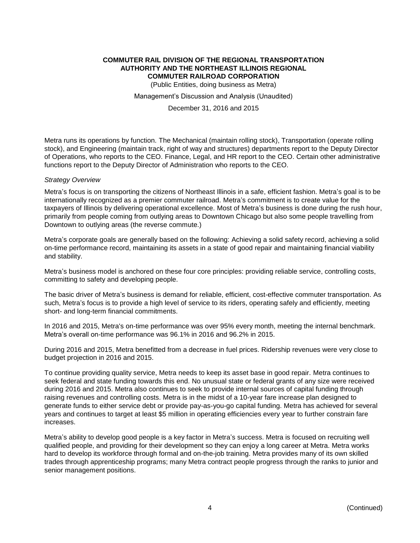(Public Entities, doing business as Metra)

Management's Discussion and Analysis (Unaudited)

December 31, 2016 and 2015

Metra runs its operations by function. The Mechanical (maintain rolling stock), Transportation (operate rolling stock), and Engineering (maintain track, right of way and structures) departments report to the Deputy Director of Operations, who reports to the CEO. Finance, Legal, and HR report to the CEO. Certain other administrative functions report to the Deputy Director of Administration who reports to the CEO.

#### *Strategy Overview*

Metra's focus is on transporting the citizens of Northeast Illinois in a safe, efficient fashion. Metra's goal is to be internationally recognized as a premier commuter railroad. Metra's commitment is to create value for the taxpayers of Illinois by delivering operational excellence. Most of Metra's business is done during the rush hour, primarily from people coming from outlying areas to Downtown Chicago but also some people travelling from Downtown to outlying areas (the reverse commute.)

Metra's corporate goals are generally based on the following: Achieving a solid safety record, achieving a solid on-time performance record, maintaining its assets in a state of good repair and maintaining financial viability and stability.

Metra's business model is anchored on these four core principles: providing reliable service, controlling costs, committing to safety and developing people.

The basic driver of Metra's business is demand for reliable, efficient, cost-effective commuter transportation. As such, Metra's focus is to provide a high level of service to its riders, operating safely and efficiently, meeting short- and long-term financial commitments.

In 2016 and 2015, Metra's on-time performance was over 95% every month, meeting the internal benchmark. Metra's overall on-time performance was 96.1% in 2016 and 96.2% in 2015.

During 2016 and 2015, Metra benefitted from a decrease in fuel prices. Ridership revenues were very close to budget projection in 2016 and 2015.

To continue providing quality service, Metra needs to keep its asset base in good repair. Metra continues to seek federal and state funding towards this end. No unusual state or federal grants of any size were received during 2016 and 2015. Metra also continues to seek to provide internal sources of capital funding through raising revenues and controlling costs. Metra is in the midst of a 10-year fare increase plan designed to generate funds to either service debt or provide pay-as-you-go capital funding. Metra has achieved for several years and continues to target at least \$5 million in operating efficiencies every year to further constrain fare increases.

Metra's ability to develop good people is a key factor in Metra's success. Metra is focused on recruiting well qualified people, and providing for their development so they can enjoy a long career at Metra. Metra works hard to develop its workforce through formal and on-the-job training. Metra provides many of its own skilled trades through apprenticeship programs; many Metra contract people progress through the ranks to junior and senior management positions.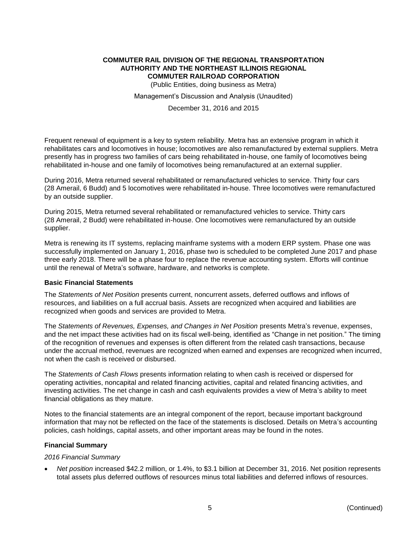(Public Entities, doing business as Metra)

Management's Discussion and Analysis (Unaudited)

December 31, 2016 and 2015

Frequent renewal of equipment is a key to system reliability. Metra has an extensive program in which it rehabilitates cars and locomotives in house; locomotives are also remanufactured by external suppliers. Metra presently has in progress two families of cars being rehabilitated in-house, one family of locomotives being rehabilitated in-house and one family of locomotives being remanufactured at an external supplier.

During 2016, Metra returned several rehabilitated or remanufactured vehicles to service. Thirty four cars (28 Amerail, 6 Budd) and 5 locomotives were rehabilitated in-house. Three locomotives were remanufactured by an outside supplier.

During 2015, Metra returned several rehabilitated or remanufactured vehicles to service. Thirty cars (28 Amerail, 2 Budd) were rehabilitated in-house. One locomotives were remanufactured by an outside supplier.

Metra is renewing its IT systems, replacing mainframe systems with a modern ERP system. Phase one was successfully implemented on January 1, 2016, phase two is scheduled to be completed June 2017 and phase three early 2018. There will be a phase four to replace the revenue accounting system. Efforts will continue until the renewal of Metra's software, hardware, and networks is complete.

#### **Basic Financial Statements**

The *Statements of Net Position* presents current, noncurrent assets, deferred outflows and inflows of resources, and liabilities on a full accrual basis. Assets are recognized when acquired and liabilities are recognized when goods and services are provided to Metra.

The *Statements of Revenues, Expenses, and Changes in Net Position* presents Metra's revenue, expenses, and the net impact these activities had on its fiscal well-being, identified as "Change in net position." The timing of the recognition of revenues and expenses is often different from the related cash transactions, because under the accrual method, revenues are recognized when earned and expenses are recognized when incurred, not when the cash is received or disbursed.

The *Statements of Cash Flows* presents information relating to when cash is received or dispersed for operating activities, noncapital and related financing activities, capital and related financing activities, and investing activities. The net change in cash and cash equivalents provides a view of Metra's ability to meet financial obligations as they mature.

Notes to the financial statements are an integral component of the report, because important background information that may not be reflected on the face of the statements is disclosed. Details on Metra's accounting policies, cash holdings, capital assets, and other important areas may be found in the notes.

#### **Financial Summary**

#### *2016 Financial Summary*

 *Net position* increased \$42.2 million, or 1.4%, to \$3.1 billion at December 31, 2016. Net position represents total assets plus deferred outflows of resources minus total liabilities and deferred inflows of resources.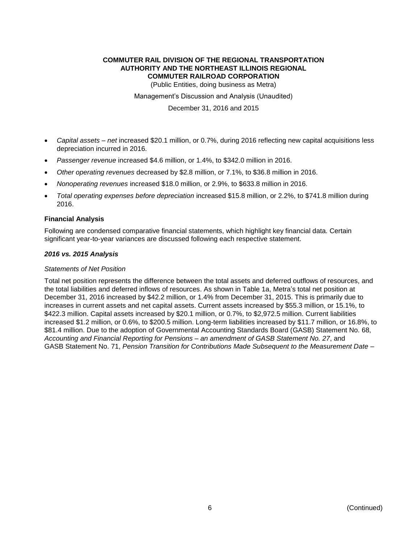(Public Entities, doing business as Metra)

Management's Discussion and Analysis (Unaudited)

December 31, 2016 and 2015

- *Capital assets – net* increased \$20.1 million, or 0.7%, during 2016 reflecting new capital acquisitions less depreciation incurred in 2016.
- *Passenger revenue* increased \$4.6 million, or 1.4%, to \$342.0 million in 2016.
- *Other operating revenues* decreased by \$2.8 million, or 7.1%, to \$36.8 million in 2016.
- *Nonoperating revenues* increased \$18.0 million, or 2.9%, to \$633.8 million in 2016.
- *Total operating expenses before depreciation* increased \$15.8 million, or 2.2%, to \$741.8 million during 2016.

#### **Financial Analysis**

Following are condensed comparative financial statements, which highlight key financial data. Certain significant year-to-year variances are discussed following each respective statement.

#### *2016 vs. 2015 Analysis*

#### *Statements of Net Position*

Total net position represents the difference between the total assets and deferred outflows of resources, and the total liabilities and deferred inflows of resources. As shown in Table 1a, Metra's total net position at December 31, 2016 increased by \$42.2 million, or 1.4% from December 31, 2015. This is primarily due to increases in current assets and net capital assets. Current assets increased by \$55.3 million, or 15.1%, to \$422.3 million. Capital assets increased by \$20.1 million, or 0.7%, to \$2,972.5 million. Current liabilities increased \$1.2 million, or 0.6%, to \$200.5 million. Long-term liabilities increased by \$11.7 million, or 16.8%, to \$81.4 million. Due to the adoption of Governmental Accounting Standards Board (GASB) Statement No. 68, *Accounting and Financial Reporting for Pensions – an amendment of GASB Statement No. 27*, and GASB Statement No. 71, *Pension Transition for Contributions Made Subsequent to the Measurement Date –*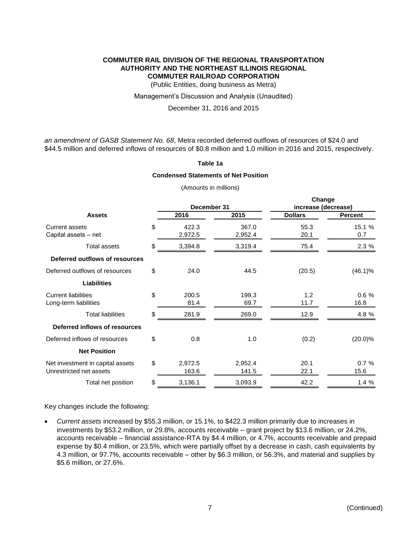(Public Entities, doing business as Metra)

Management's Discussion and Analysis (Unaudited)

December 31, 2016 and 2015

*an amendment of GASB Statement No. 68*, Metra recorded deferred outflows of resources of \$24.0 and \$44.5 million and deferred inflows of resources of \$0.8 million and 1.0 million in 2016 and 2015, respectively.

#### **Table 1a**

#### **Condensed Statements of Net Position**

|                                                             | December 31            |                  | Change<br>increase (decrease) |                |  |
|-------------------------------------------------------------|------------------------|------------------|-------------------------------|----------------|--|
| <b>Assets</b>                                               | 2016                   | 2015             | <b>Dollars</b>                | <b>Percent</b> |  |
| Current assets<br>Capital assets – net                      | \$<br>422.3<br>2,972.5 | 367.0<br>2,952.4 | 55.3<br>20.1                  | 15.1 %<br>0.7  |  |
| <b>Total assets</b>                                         | \$<br>3,394.8          | 3,319.4          | 75.4                          | 2.3%           |  |
| Deferred outflows of resources                              |                        |                  |                               |                |  |
| Deferred outflows of resources                              | \$<br>24.0             | 44.5             | (20.5)                        | $(46.1)\%$     |  |
| <b>Liabilities</b>                                          |                        |                  |                               |                |  |
| <b>Current liabilities</b><br>Long-term liabilities         | \$<br>200.5<br>81.4    | 199.3<br>69.7    | 1.2<br>11.7                   | 0.6%<br>16.8   |  |
| <b>Total liabilities</b>                                    | \$<br>281.9            | 269.0            | 12.9                          | 4.8 %          |  |
| Deferred inflows of resources                               |                        |                  |                               |                |  |
| Deferred inflows of resources                               | \$<br>0.8              | 1.0              | (0.2)                         | $(20.0)\%$     |  |
| <b>Net Position</b>                                         |                        |                  |                               |                |  |
| Net investment in capital assets<br>Unrestricted net assets | \$<br>2,972.5<br>163.6 | 2,952.4<br>141.5 | 20.1<br>22.1                  | 0.7%<br>15.6   |  |
| Total net position                                          | \$<br>3,136.1          | 3,093.9          | 42.2                          | 1.4%           |  |

(Amounts in millions)

Key changes include the following:

 *Current assets* increased by \$55.3 million, or 15.1%, to \$422.3 million primarily due to increases in investments by \$53.2 million, or 29.8%, accounts receivable – grant project by \$13.6 million, or 24.2%, accounts receivable – financial assistance-RTA by \$4.4 million, or 4.7%, accounts receivable and prepaid expense by \$0.4 million, or 23.5%, which were partially offset by a decrease in cash, cash equivalents by 4.3 million, or 97.7%, accounts receivable – other by \$6.3 million, or 56.3%, and material and supplies by \$5.6 million, or 27.6%.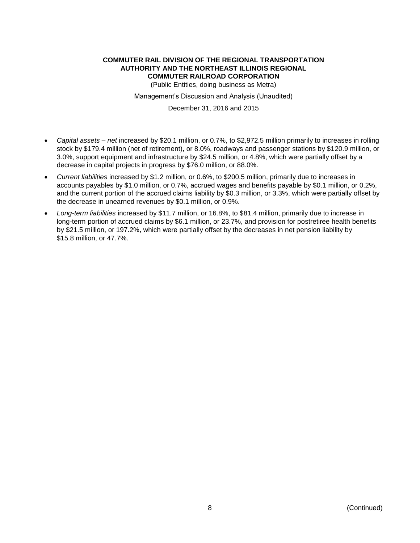(Public Entities, doing business as Metra)

Management's Discussion and Analysis (Unaudited)

December 31, 2016 and 2015

- *Capital assets net* increased by \$20.1 million, or 0.7%, to \$2,972.5 million primarily to increases in rolling stock by \$179.4 million (net of retirement), or 8.0%, roadways and passenger stations by \$120.9 million, or 3.0%, support equipment and infrastructure by \$24.5 million, or 4.8%, which were partially offset by a decrease in capital projects in progress by \$76.0 million, or 88.0%.
- *Current liabilities* increased by \$1.2 million, or 0.6%, to \$200.5 million, primarily due to increases in accounts payables by \$1.0 million, or 0.7%, accrued wages and benefits payable by \$0.1 million, or 0.2%, and the current portion of the accrued claims liability by \$0.3 million, or 3.3%, which were partially offset by the decrease in unearned revenues by \$0.1 million, or 0.9%.
- *Long-term liabilities* increased by \$11.7 million, or 16.8%, to \$81.4 million, primarily due to increase in long-term portion of accrued claims by \$6.1 million, or 23.7%, and provision for postretiree health benefits by \$21.5 million, or 197.2%, which were partially offset by the decreases in net pension liability by \$15.8 million, or 47.7%.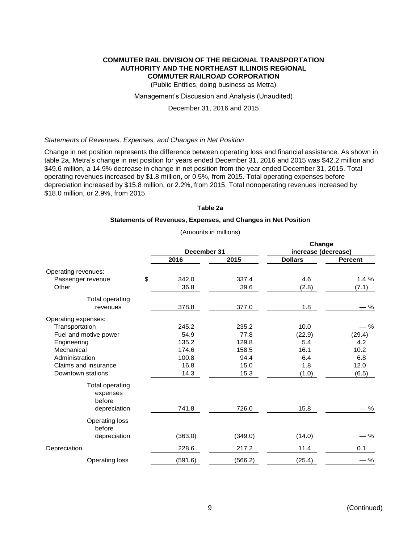(Public Entities, doing business as Metra)

#### Management's Discussion and Analysis (Unaudited)

December 31, 2016 and 2015

#### *Statements of Revenues, Expenses, and Changes in Net Position*

Change in net position represents the difference between operating loss and financial assistance. As shown in table 2a, Metra's change in net position for years ended December 31, 2016 and 2015 was \$42.2 million and \$49.6 million, a 14.9% decrease in change in net position from the year ended December 31, 2015. Total operating revenues increased by \$1.8 million, or 0.5%, from 2015. Total operating expenses before depreciation increased by \$15.8 million, or 2.2%, from 2015. Total nonoperating revenues increased by \$18.0 million, or 2.9%, from 2015.

#### **Table 2a**

#### **Statements of Revenues, Expenses, and Changes in Net Position**

#### (Amounts in millions)

|                                                              |             |         | Change              |                |  |
|--------------------------------------------------------------|-------------|---------|---------------------|----------------|--|
|                                                              | December 31 |         | increase (decrease) |                |  |
|                                                              | 2016        | 2015    | <b>Dollars</b>      | <b>Percent</b> |  |
| Operating revenues:                                          |             |         |                     |                |  |
| Passenger revenue                                            | \$<br>342.0 | 337.4   | 4.6                 | 1.4%           |  |
| Other                                                        | 36.8        | 39.6    | (2.8)               | (7.1)          |  |
| Total operating                                              |             |         |                     |                |  |
| revenues                                                     | 378.8       | 377.0   | 1.8                 | $-$ %          |  |
| Operating expenses:                                          |             |         |                     |                |  |
| Transportation                                               | 245.2       | 235.2   | 10.0                | $-$ %          |  |
| Fuel and motive power                                        | 54.9        | 77.8    | (22.9)              | (29.4)         |  |
| Engineering                                                  | 135.2       | 129.8   | 5.4                 | 4.2            |  |
| Mechanical                                                   | 174.6       | 158.5   | 16.1                | 10.2           |  |
| Administration                                               | 100.8       | 94.4    | 6.4                 | 6.8            |  |
| Claims and insurance                                         | 16.8        | 15.0    | 1.8                 | 12.0           |  |
| Downtown stations                                            | 14.3        | 15.3    | (1.0)               | (6.5)          |  |
| <b>Total operating</b><br>expenses<br>before<br>depreciation | 741.8       | 726.0   | 15.8                | — %            |  |
|                                                              |             |         |                     |                |  |
| Operating loss<br>before                                     |             |         |                     |                |  |
| depreciation                                                 | (363.0)     | (349.0) | (14.0)              | - %            |  |
| Depreciation                                                 | 228.6       | 217.2   | 11.4                | 0.1            |  |
| Operating loss                                               | (591.6)     | (566.2) | (25.4)              | $-$ %          |  |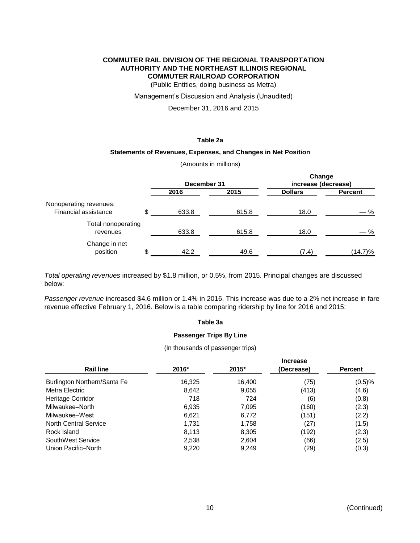(Public Entities, doing business as Metra)

Management's Discussion and Analysis (Unaudited)

December 31, 2016 and 2015

#### **Table 2a**

# **Statements of Revenues, Expenses, and Changes in Net Position** (Amounts in millions)

|                                                |    | December 31 |       | Change<br>increase (decrease) |                |  |
|------------------------------------------------|----|-------------|-------|-------------------------------|----------------|--|
|                                                |    | 2016        | 2015  | <b>Dollars</b>                | <b>Percent</b> |  |
| Nonoperating revenues:<br>Financial assistance | \$ | 633.8       | 615.8 | 18.0                          | — %            |  |
| Total nonoperating<br>revenues                 |    | 633.8       | 615.8 | 18.0                          | — %            |  |
| Change in net<br>position                      | \$ | 42.2        | 49.6  | (7.4)                         | (14.7)%        |  |

*Total operating revenues* increased by \$1.8 million, or 0.5%, from 2015. Principal changes are discussed below:

*Passenger revenue* increased \$4.6 million or 1.4% in 2016. This increase was due to a 2% net increase in fare revenue effective February 1, 2016. Below is a table comparing ridership by line for 2016 and 2015:

#### **Table 3a**

#### **Passenger Trips By Line**

(In thousands of passenger trips)

|                              | <b>Increase</b> |         |            |                |  |  |  |
|------------------------------|-----------------|---------|------------|----------------|--|--|--|
| <b>Rail line</b>             | 2016*           | $2015*$ | (Decrease) | <b>Percent</b> |  |  |  |
| Burlington Northern/Santa Fe | 16,325          | 16,400  | (75)       | (0.5)%         |  |  |  |
| Metra Electric               | 8,642           | 9,055   | (413)      | (4.6)          |  |  |  |
| Heritage Corridor            | 718             | 724     | (6)        | (0.8)          |  |  |  |
| Milwaukee-North              | 6,935           | 7,095   | (160)      | (2.3)          |  |  |  |
| Milwaukee-West               | 6,621           | 6,772   | (151)      | (2.2)          |  |  |  |
| <b>North Central Service</b> | 1,731           | 1,758   | (27)       | (1.5)          |  |  |  |
| Rock Island                  | 8,113           | 8,305   | (192)      | (2.3)          |  |  |  |
| SouthWest Service            | 2,538           | 2,604   | (66)       | (2.5)          |  |  |  |
| Union Pacific-North          | 9,220           | 9,249   | (29)       | (0.3)          |  |  |  |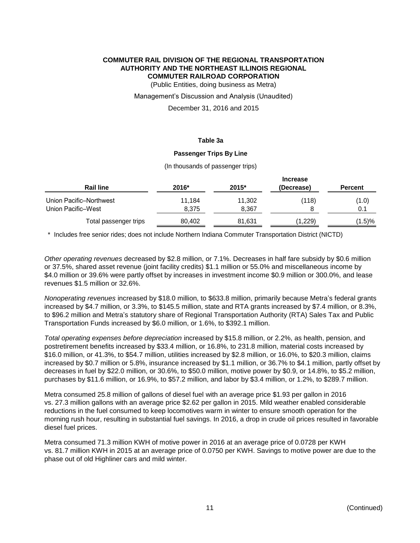(Public Entities, doing business as Metra)

Management's Discussion and Analysis (Unaudited)

December 31, 2016 and 2015

#### **Table 3a**

#### **Passenger Trips By Line**

(In thousands of passenger trips)

|                         | <b>Increase</b> |        |            |                |  |  |  |
|-------------------------|-----------------|--------|------------|----------------|--|--|--|
| <b>Rail line</b>        | 2016*           | 2015*  | (Decrease) | <b>Percent</b> |  |  |  |
| Union Pacific-Northwest | 11.184          | 11.302 | (118)      | (1.0)          |  |  |  |
| Union Pacific-West      | 8.375           | 8.367  | 8          | 0.1            |  |  |  |
| Total passenger trips   | 80.402          | 81,631 | (1,229)    | $(1.5)\%$      |  |  |  |

\* Includes free senior rides; does not include Northern Indiana Commuter Transportation District (NICTD)

*Other operating revenues* decreased by \$2.8 million, or 7.1%. Decreases in half fare subsidy by \$0.6 million or 37.5%, shared asset revenue (joint facility credits) \$1.1 million or 55.0% and miscellaneous income by \$4.0 million or 39.6% were partly offset by increases in investment income \$0.9 million or 300.0%, and lease revenues \$1.5 million or 32.6%.

*Nonoperating revenues* increased by \$18.0 million, to \$633.8 million, primarily because Metra's federal grants increased by \$4.7 million, or 3.3%, to \$145.5 million, state and RTA grants increased by \$7.4 million, or 8.3%, to \$96.2 million and Metra's statutory share of Regional Transportation Authority (RTA) Sales Tax and Public Transportation Funds increased by \$6.0 million, or 1.6%, to \$392.1 million.

*Total operating expenses before depreciation* increased by \$15.8 million, or 2.2%, as health, pension, and postretirement benefits increased by \$33.4 million, or 16.8%, to 231.8 million, material costs increased by \$16.0 million, or 41.3%, to \$54.7 million, utilities increased by \$2.8 million, or 16.0%, to \$20.3 million, claims increased by \$0.7 million or 5.8%, insurance increased by \$1.1 million, or 36.7% to \$4.1 million, partly offset by decreases in fuel by \$22.0 million, or 30.6%, to \$50.0 million, motive power by \$0.9, or 14.8%, to \$5.2 million, purchases by \$11.6 million, or 16.9%, to \$57.2 million, and labor by \$3.4 million, or 1.2%, to \$289.7 million.

Metra consumed 25.8 million of gallons of diesel fuel with an average price \$1.93 per gallon in 2016 vs. 27.3 million gallons with an average price \$2.62 per gallon in 2015. Mild weather enabled considerable reductions in the fuel consumed to keep locomotives warm in winter to ensure smooth operation for the morning rush hour, resulting in substantial fuel savings. In 2016, a drop in crude oil prices resulted in favorable diesel fuel prices.

Metra consumed 71.3 million KWH of motive power in 2016 at an average price of 0.0728 per KWH vs. 81.7 million KWH in 2015 at an average price of 0.0750 per KWH. Savings to motive power are due to the phase out of old Highliner cars and mild winter.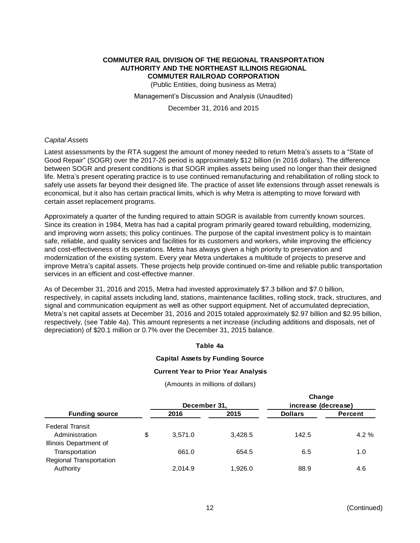(Public Entities, doing business as Metra)

Management's Discussion and Analysis (Unaudited)

December 31, 2016 and 2015

#### *Capital Assets*

Latest assessments by the RTA suggest the amount of money needed to return Metra's assets to a "State of Good Repair" (SOGR) over the 2017-26 period is approximately \$12 billion (in 2016 dollars). The difference between SOGR and present conditions is that SOGR implies assets being used no longer than their designed life. Metra's present operating practice is to use continued remanufacturing and rehabilitation of rolling stock to safely use assets far beyond their designed life. The practice of asset life extensions through asset renewals is economical, but it also has certain practical limits, which is why Metra is attempting to move forward with certain asset replacement programs.

Approximately a quarter of the funding required to attain SOGR is available from currently known sources. Since its creation in 1984, Metra has had a capital program primarily geared toward rebuilding, modernizing, and improving worn assets; this policy continues. The purpose of the capital investment policy is to maintain safe, reliable, and quality services and facilities for its customers and workers, while improving the efficiency and cost-effectiveness of its operations. Metra has always given a high priority to preservation and modernization of the existing system. Every year Metra undertakes a multitude of projects to preserve and improve Metra's capital assets. These projects help provide continued on-time and reliable public transportation services in an efficient and cost-effective manner.

As of December 31, 2016 and 2015, Metra had invested approximately \$7.3 billion and \$7.0 billion, respectively, in capital assets including land, stations, maintenance facilities, rolling stock, track, structures, and signal and communication equipment as well as other support equipment. Net of accumulated depreciation, Metra's net capital assets at December 31, 2016 and 2015 totaled approximately \$2.97 billion and \$2.95 billion, respectively, (see Table 4a). This amount represents a net increase (including additions and disposals, net of depreciation) of \$20.1 million or 0.7% over the December 31, 2015 balance.

#### **Table 4a**

#### **Capital Assets by Funding Source**

#### **Current Year to Prior Year Analysis**

#### (Amounts in millions of dollars)

|                                          |    | December 31, |         | Change<br>increase (decrease) |                |  |
|------------------------------------------|----|--------------|---------|-------------------------------|----------------|--|
| <b>Funding source</b>                    |    | 2016         | 2015    | <b>Dollars</b>                | <b>Percent</b> |  |
| <b>Federal Transit</b><br>Administration | \$ | 3.571.0      | 3.428.5 | 142.5                         | $4.2 \%$       |  |
| Illinois Department of<br>Transportation |    | 661.0        | 654.5   | 6.5                           | 1.0            |  |
| Regional Transportation<br>Authority     |    | 2.014.9      | 1,926.0 | 88.9                          | 4.6            |  |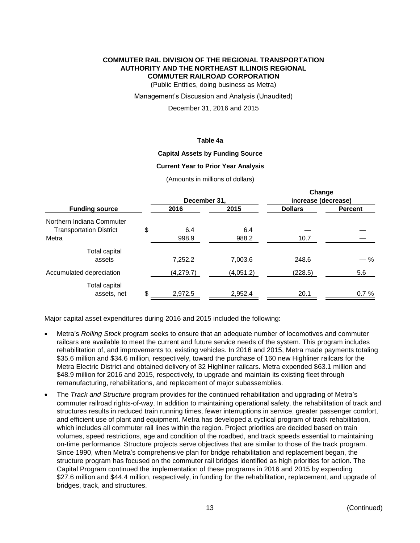(Public Entities, doing business as Metra)

Management's Discussion and Analysis (Unaudited)

December 31, 2016 and 2015

#### **Table 4a**

#### **Capital Assets by Funding Source**

#### **Current Year to Prior Year Analysis**

(Amounts in millions of dollars)

|                                                                      |                    | December 31, | <b>Ullallyc</b><br>increase (decrease) |                |  |
|----------------------------------------------------------------------|--------------------|--------------|----------------------------------------|----------------|--|
| <b>Funding source</b>                                                | 2016               | 2015         | <b>Dollars</b>                         | <b>Percent</b> |  |
| Northern Indiana Commuter<br><b>Transportation District</b><br>Metra | \$<br>6.4<br>998.9 | 6.4<br>988.2 | 10.7                                   |                |  |
| <b>Total capital</b><br>assets                                       | 7,252.2            | 7,003.6      | 248.6                                  | $-$ %          |  |
| Accumulated depreciation                                             | (4,279.7)          | (4,051.2)    | (228.5)                                | 5.6            |  |
| Total capital<br>assets, net                                         | \$<br>2,972.5      | 2,952.4      | 20.1                                   | 0.7%           |  |

Major capital asset expenditures during 2016 and 2015 included the following:

- Metra's *Rolling Stock* program seeks to ensure that an adequate number of locomotives and commuter railcars are available to meet the current and future service needs of the system. This program includes rehabilitation of, and improvements to, existing vehicles. In 2016 and 2015, Metra made payments totaling \$35.6 million and \$34.6 million, respectively, toward the purchase of 160 new Highliner railcars for the Metra Electric District and obtained delivery of 32 Highliner railcars. Metra expended \$63.1 million and \$48.9 million for 2016 and 2015, respectively, to upgrade and maintain its existing fleet through remanufacturing, rehabilitations, and replacement of major subassemblies.
- The *Track and Structure* program provides for the continued rehabilitation and upgrading of Metra's commuter railroad rights-of-way. In addition to maintaining operational safety, the rehabilitation of track and structures results in reduced train running times, fewer interruptions in service, greater passenger comfort, and efficient use of plant and equipment. Metra has developed a cyclical program of track rehabilitation, which includes all commuter rail lines within the region. Project priorities are decided based on train volumes, speed restrictions, age and condition of the roadbed, and track speeds essential to maintaining on-time performance. Structure projects serve objectives that are similar to those of the track program. Since 1990, when Metra's comprehensive plan for bridge rehabilitation and replacement began, the structure program has focused on the commuter rail bridges identified as high priorities for action. The Capital Program continued the implementation of these programs in 2016 and 2015 by expending \$27.6 million and \$44.4 million, respectively, in funding for the rehabilitation, replacement, and upgrade of bridges, track, and structures.

**Change**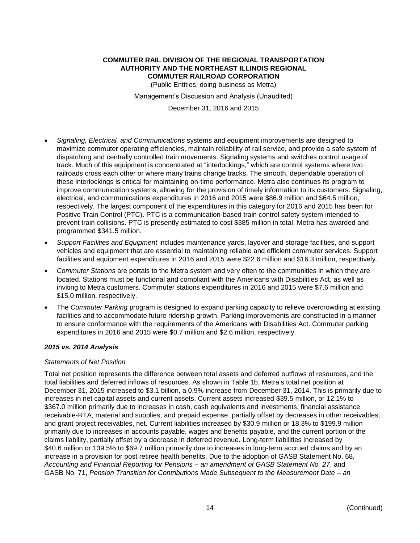(Public Entities, doing business as Metra)

Management's Discussion and Analysis (Unaudited)

December 31, 2016 and 2015

- *Signaling, Electrical, and Communications* systems and equipment improvements are designed to maximize commuter operating efficiencies, maintain reliability of rail service, and provide a safe system of dispatching and centrally controlled train movements. Signaling systems and switches control usage of track. Much of this equipment is concentrated at "interlockings," which are control systems where two railroads cross each other or where many trains change tracks. The smooth, dependable operation of these interlockings is critical for maintaining on-time performance. Metra also continues its program to improve communication systems, allowing for the provision of timely information to its customers. Signaling, electrical, and communications expenditures in 2016 and 2015 were \$86.9 million and \$64.5 million, respectively. The largest component of the expenditures in this category for 2016 and 2015 has been for Positive Train Control (PTC). PTC is a communication-based train control safety system intended to prevent train collisions. PTC is presently estimated to cost \$385 million in total. Metra has awarded and programmed \$341.5 million.
- *Support Facilities and Equipment* includes maintenance yards, layover and storage facilities, and support vehicles and equipment that are essential to maintaining reliable and efficient commuter services. Support facilities and equipment expenditures in 2016 and 2015 were \$22.6 million and \$16.3 million, respectively.
- *Commuter Stations* are portals to the Metra system and very often to the communities in which they are located. Stations must be functional and compliant with the Americans with Disabilities Act, as well as inviting to Metra customers. Commuter stations expenditures in 2016 and 2015 were \$7.6 million and \$15.0 million, respectively.
- The *Commuter Parking* program is designed to expand parking capacity to relieve overcrowding at existing facilities and to accommodate future ridership growth. Parking improvements are constructed in a manner to ensure conformance with the requirements of the Americans with Disabilities Act. Commuter parking expenditures in 2016 and 2015 were \$0.7 million and \$2.6 million, respectively.

#### *2015 vs. 2014 Analysis*

#### *Statements of Net Position*

Total net position represents the difference between total assets and deferred outflows of resources, and the total liabilities and deferred inflows of resources. As shown in Table 1b, Metra's total net position at December 31, 2015 increased to \$3.1 billion, a 0.9% increase from December 31, 2014. This is primarily due to increases in net capital assets and current assets. Current assets increased \$39.5 million, or 12.1% to \$367.0 million primarily due to increases in cash, cash equivalents and investments, financial assistance receivable-RTA, material and supplies, and prepaid expense, partially offset by decreases in other receivables, and grant project receivables, net. Current liabilities increased by \$30.9 million or 18.3% to \$199.9 million primarily due to increases in accounts payable, wages and benefits payable, and the current portion of the claims liability, partially offset by a decrease in deferred revenue. Long-term liabilities increased by \$40.6 million or 139.5% to \$69.7 million primarily due to increases in long-term accrued claims and by an increase in a provision for post retiree health benefits. Due to the adoption of GASB Statement No. 68, *Accounting and Financial Reporting for Pensions – an amendment of GASB Statement No. 27*, and GASB No. 71, *Pension Transition for Contributions Made Subsequent to the Measurement Date – an*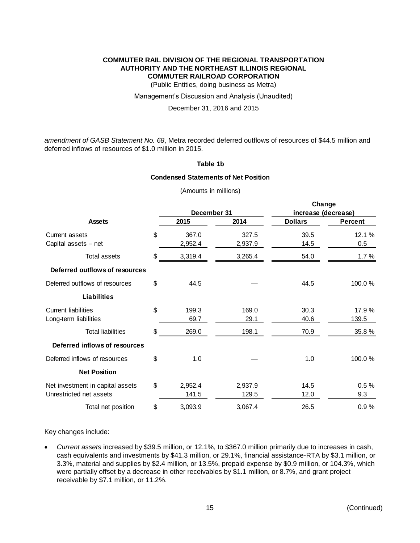(Public Entities, doing business as Metra)

Management's Discussion and Analysis (Unaudited)

December 31, 2016 and 2015

*amendment of GASB Statement No. 68*, Metra recorded deferred outflows of resources of \$44.5 million and deferred inflows of resources of \$1.0 million in 2015.

#### **Table 1b**

#### **Condensed Statements of Net Position**

(Amounts in millions)

|                                  |               |         | Change              |                |  |
|----------------------------------|---------------|---------|---------------------|----------------|--|
|                                  | December 31   |         | increase (decrease) |                |  |
| <b>Assets</b>                    | 2015          | 2014    | <b>Dollars</b>      | <b>Percent</b> |  |
| Current assets                   | \$<br>367.0   | 327.5   | 39.5                | 12.1 %         |  |
| Capital assets - net             | 2,952.4       | 2,937.9 | 14.5                | 0.5            |  |
| <b>Total assets</b>              | \$<br>3,319.4 | 3,265.4 | 54.0                | 1.7%           |  |
| Deferred outflows of resources   |               |         |                     |                |  |
| Deferred outflows of resources   | \$<br>44.5    |         | 44.5                | 100.0%         |  |
| <b>Liabilities</b>               |               |         |                     |                |  |
| <b>Current liabilities</b>       | \$<br>199.3   | 169.0   | 30.3                | 17.9 %         |  |
| Long-term liabilities            | 69.7          | 29.1    | 40.6                | 139.5          |  |
| <b>Total liabilities</b>         | \$<br>269.0   | 198.1   | 70.9                | 35.8%          |  |
| Deferred inflows of resources    |               |         |                     |                |  |
| Deferred inflows of resources    | \$<br>1.0     |         | 1.0                 | 100.0%         |  |
| <b>Net Position</b>              |               |         |                     |                |  |
| Net investment in capital assets | \$<br>2,952.4 | 2,937.9 | 14.5                | 0.5%           |  |
| Unrestricted net assets          | 141.5         | 129.5   | 12.0                | 9.3            |  |
| Total net position               | \$<br>3,093.9 | 3,067.4 | 26.5                | 0.9%           |  |

Key changes include:

 *Current assets* increased by \$39.5 million, or 12.1%, to \$367.0 million primarily due to increases in cash, cash equivalents and investments by \$41.3 million, or 29.1%, financial assistance-RTA by \$3.1 million, or 3.3%, material and supplies by \$2.4 million, or 13.5%, prepaid expense by \$0.9 million, or 104.3%, which were partially offset by a decrease in other receivables by \$1.1 million, or 8.7%, and grant project receivable by \$7.1 million, or 11.2%.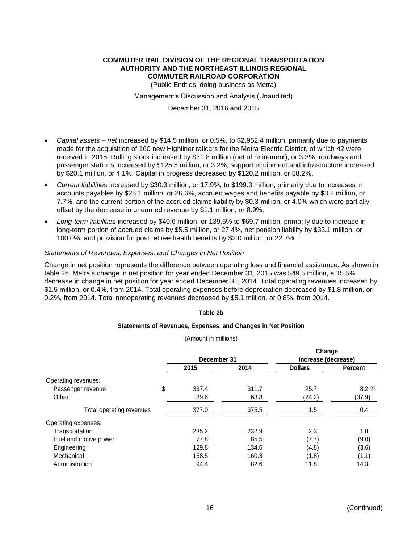(Public Entities, doing business as Metra)

Management's Discussion and Analysis (Unaudited)

#### December 31, 2016 and 2015

- *Capital assets net* increased by \$14.5 million, or 0.5%, to \$2,952.4 million, primarily due to payments made for the acquisition of 160 new Highliner railcars for the Metra Electric District, of which 42 were received in 2015. Rolling stock increased by \$71.8 million (net of retirement), or 3.3%, roadways and passenger stations increased by \$125.5 million, or 3.2%, support equipment and infrastructure increased by \$20.1 million, or 4.1%. Capital in progress decreased by \$120.2 million, or 58.2%.
- *Current liabilities* increased by \$30.3 million, or 17.9%, to \$199.3 million, primarily due to increases in accounts payables by \$28.1 million, or 26.6%, accrued wages and benefits payable by \$3.2 million, or 7.7%, and the current portion of the accrued claims liability by \$0.3 million, or 4.0% which were partially offset by the decrease in unearned revenue by \$1.1 million, or 8.9%.
- *Long-term liabilities* increased by \$40.6 million, or 139.5% to \$69.7 million, primarily due to increase in long-term portion of accrued claims by \$5.5 million, or 27.4%, net pension liability by \$33.1 million, or 100.0%, and provision for post retiree health benefits by \$2.0 million, or 22.7%.

#### *Statements of Revenues, Expenses, and Changes in Net Position*

Change in net position represents the difference between operating loss and financial assistance. As shown in table 2b, Metra's change in net position for year ended December 31, 2015 was \$49.5 million, a 15.5% decrease in change in net position for year ended December 31, 2014. Total operating revenues increased by \$1.5 million, or 0.4%, from 2014. Total operating expenses before depreciation decreased by \$1.8 million, or 0.2%, from 2014. Total nonoperating revenues decreased by \$5.1 million, or 0.8%, from 2014.

#### **Table 2b**

#### **Statements of Revenues, Expenses, and Changes in Net Position**

(Amount in millions)

|                          |             |       | Change              |                |
|--------------------------|-------------|-------|---------------------|----------------|
|                          | December 31 |       | increase (decrease) |                |
|                          | 2015        | 2014  | <b>Dollars</b>      | <b>Percent</b> |
| Operating revenues:      |             |       |                     |                |
| Passenger revenue        | \$<br>337.4 | 311.7 | 25.7                | 8.2 %          |
| Other                    | 39.6        | 63.8  | (24.2)              | (37.9)         |
| Total operating revenues | 377.0       | 375.5 | 1.5                 | 0.4            |
| Operating expenses:      |             |       |                     |                |
| Transportation           | 235.2       | 232.9 | 2.3                 | 1.0            |
| Fuel and motive power    | 77.8        | 85.5  | (7.7)               | (9.0)          |
| Engineering              | 129.8       | 134.6 | (4.8)               | (3.6)          |
| Mechanical               | 158.5       | 160.3 | (1.8)               | (1.1)          |
| Administration           | 94.4        | 82.6  | 11.8                | 14.3           |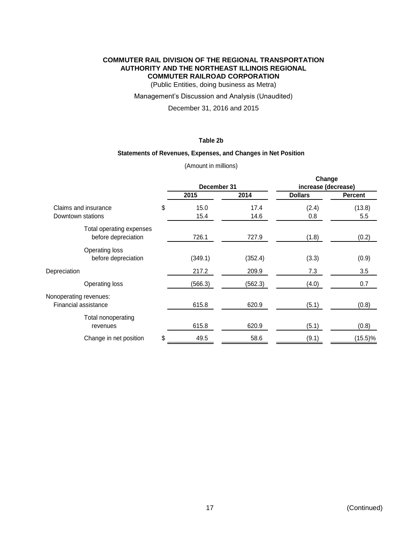(Public Entities, doing business as Metra)

Management's Discussion and Analysis (Unaudited)

December 31, 2016 and 2015

### **Table 2b**

### **Statements of Revenues, Expenses, and Changes in Net Position**

(Amount in millions)

|                                                 | December 31 |              |              | Change<br>increase (decrease) |                |  |
|-------------------------------------------------|-------------|--------------|--------------|-------------------------------|----------------|--|
|                                                 |             | 2015         | 2014         | <b>Dollars</b>                | <b>Percent</b> |  |
| Claims and insurance<br>Downtown stations       | \$          | 15.0<br>15.4 | 17.4<br>14.6 | (2.4)<br>0.8                  | (13.8)<br>5.5  |  |
| Total operating expenses<br>before depreciation |             | 726.1        | 727.9        | (1.8)                         | (0.2)          |  |
| <b>Operating loss</b><br>before depreciation    |             | (349.1)      | (352.4)      | (3.3)                         | (0.9)          |  |
| Depreciation                                    |             | 217.2        | 209.9        | 7.3                           | 3.5            |  |
| Operating loss                                  |             | (566.3)      | (562.3)      | (4.0)                         | 0.7            |  |
| Nonoperating revenues:<br>Financial assistance  |             | 615.8        | 620.9        | (5.1)                         | (0.8)          |  |
| Total nonoperating<br>revenues                  |             | 615.8        | 620.9        | (5.1)                         | (0.8)          |  |
| Change in net position                          | \$          | 49.5         | 58.6         | (9.1)                         | $(15.5)\%$     |  |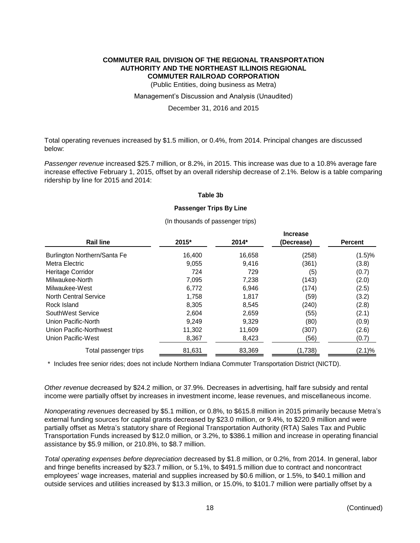(Public Entities, doing business as Metra)

#### Management's Discussion and Analysis (Unaudited)

#### December 31, 2016 and 2015

Total operating revenues increased by \$1.5 million, or 0.4%, from 2014. Principal changes are discussed below:

*Passenger revenue* increased \$25.7 million, or 8.2%, in 2015. This increase was due to a 10.8% average fare increase effective February 1, 2015, offset by an overall ridership decrease of 2.1%. Below is a table comparing ridership by line for 2015 and 2014:

#### **Table 3b**

#### **Passenger Trips By Line**

(In thousands of passenger trips)

| <b>Increase</b> |        |            |                |  |  |  |
|-----------------|--------|------------|----------------|--|--|--|
| 2015*           | 2014*  | (Decrease) | <b>Percent</b> |  |  |  |
| 16,400          | 16,658 | (258)      | (1.5)%         |  |  |  |
| 9,055           | 9.416  | (361)      | (3.8)          |  |  |  |
| 724             | 729    | (5)        | (0.7)          |  |  |  |
| 7,095           | 7,238  | (143)      | (2.0)          |  |  |  |
| 6,772           | 6,946  | (174)      | (2.5)          |  |  |  |
| 1,758           | 1,817  | (59)       | (3.2)          |  |  |  |
| 8,305           | 8,545  | (240)      | (2.8)          |  |  |  |
| 2.604           | 2,659  | (55)       | (2.1)          |  |  |  |
| 9,249           | 9,329  | (80)       | (0.9)          |  |  |  |
| 11,302          | 11,609 | (307)      | (2.6)          |  |  |  |
| 8,367           | 8,423  | (56)       | (0.7)          |  |  |  |
| 81,631          | 83,369 | (1,738)    | (2.1)%         |  |  |  |
|                 |        |            |                |  |  |  |

\* Includes free senior rides; does not include Northern Indiana Commuter Transportation District (NICTD).

*Other revenue* decreased by \$24.2 million, or 37.9%. Decreases in advertising, half fare subsidy and rental income were partially offset by increases in investment income, lease revenues, and miscellaneous income.

*Nonoperating revenues* decreased by \$5.1 million, or 0.8%, to \$615.8 million in 2015 primarily because Metra's external funding sources for capital grants decreased by \$23.0 million, or 9.4%, to \$220.9 million and were partially offset as Metra's statutory share of Regional Transportation Authority (RTA) Sales Tax and Public Transportation Funds increased by \$12.0 million, or 3.2%, to \$386.1 million and increase in operating financial assistance by \$5.9 million, or 210.8%, to \$8.7 million.

*Total operating expenses before depreciation* decreased by \$1.8 million, or 0.2%, from 2014. In general, labor and fringe benefits increased by \$23.7 million, or 5.1%, to \$491.5 million due to contract and noncontract employees' wage increases, material and supplies increased by \$0.6 million, or 1.5%, to \$40.1 million and outside services and utilities increased by \$13.3 million, or 15.0%, to \$101.7 million were partially offset by a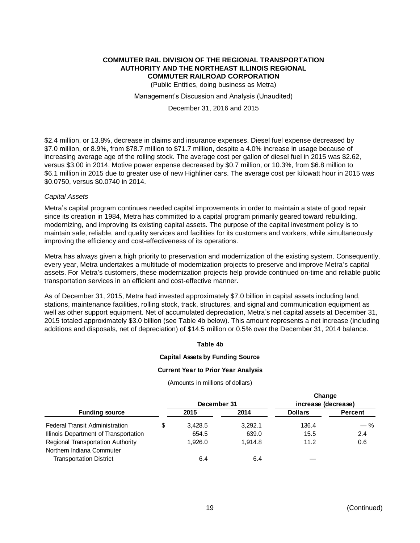(Public Entities, doing business as Metra)

Management's Discussion and Analysis (Unaudited)

December 31, 2016 and 2015

\$2.4 million, or 13.8%, decrease in claims and insurance expenses. Diesel fuel expense decreased by \$7.0 million, or 8.9%, from \$78.7 million to \$71.7 million, despite a 4.0% increase in usage because of increasing average age of the rolling stock. The average cost per gallon of diesel fuel in 2015 was \$2.62, versus \$3.00 in 2014. Motive power expense decreased by \$0.7 million, or 10.3%, from \$6.8 million to \$6.1 million in 2015 due to greater use of new Highliner cars. The average cost per kilowatt hour in 2015 was \$0.0750, versus \$0.0740 in 2014.

#### *Capital Assets*

Metra's capital program continues needed capital improvements in order to maintain a state of good repair since its creation in 1984, Metra has committed to a capital program primarily geared toward rebuilding, modernizing, and improving its existing capital assets. The purpose of the capital investment policy is to maintain safe, reliable, and quality services and facilities for its customers and workers, while simultaneously improving the efficiency and cost-effectiveness of its operations.

Metra has always given a high priority to preservation and modernization of the existing system. Consequently, every year, Metra undertakes a multitude of modernization projects to preserve and improve Metra's capital assets. For Metra's customers, these modernization projects help provide continued on-time and reliable public transportation services in an efficient and cost-effective manner.

As of December 31, 2015, Metra had invested approximately \$7.0 billion in capital assets including land, stations, maintenance facilities, rolling stock, track, structures, and signal and communication equipment as well as other support equipment. Net of accumulated depreciation, Metra's net capital assets at December 31, 2015 totaled approximately \$3.0 billion (see Table 4b below). This amount represents a net increase (including additions and disposals, net of depreciation) of \$14.5 million or 0.5% over the December 31, 2014 balance.

#### **Table 4b**

#### **Capital Assets by Funding Source**

#### **Current Year to Prior Year Analysis**

(Amounts in millions of dollars)

|                                          |             |         | Change              |                |
|------------------------------------------|-------------|---------|---------------------|----------------|
|                                          | December 31 |         | increase (decrease) |                |
| <b>Funding source</b>                    | 2015        | 2014    | <b>Dollars</b>      | <b>Percent</b> |
| <b>Federal Transit Administration</b>    | 3.428.5     | 3,292.1 | 136.4               | $-$ %          |
| Illinois Department of Transportation    | 654.5       | 639.0   | 15.5                | 2.4            |
| <b>Regional Transportation Authority</b> | 1.926.0     | 1.914.8 | 11.2                | 0.6            |
| Northern Indiana Commuter                |             |         |                     |                |
| <b>Transportation District</b>           | 6.4         | 6.4     |                     |                |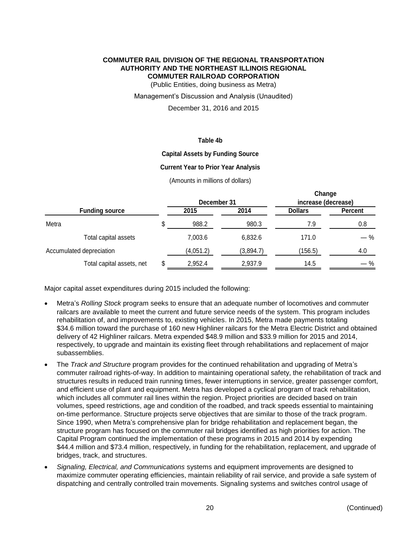(Public Entities, doing business as Metra)

Management's Discussion and Analysis (Unaudited)

December 31, 2016 and 2015

#### **Table 4b**

#### **Capital Assets by Funding Source**

#### **Current Year to Prior Year Analysis**

#### (Amounts in millions of dollars)

|                           | December 31   |           | Change<br>increase (decrease) |                |
|---------------------------|---------------|-----------|-------------------------------|----------------|
| <b>Funding source</b>     | 2015          | 2014      | <b>Dollars</b>                | <b>Percent</b> |
| Metra                     | \$<br>988.2   | 980.3     | 7.9                           | 0.8            |
| Total capital assets      | 7,003.6       | 6,832.6   | 171.0                         | $-$ %          |
| Accumulated depreciation  | (4,051.2)     | (3,894.7) | (156.5)                       | 4.0            |
| Total capital assets, net | \$<br>2,952.4 | 2,937.9   | 14.5                          | — %            |

Major capital asset expenditures during 2015 included the following:

- Metra's *Rolling Stock* program seeks to ensure that an adequate number of locomotives and commuter railcars are available to meet the current and future service needs of the system. This program includes rehabilitation of, and improvements to, existing vehicles. In 2015, Metra made payments totaling \$34.6 million toward the purchase of 160 new Highliner railcars for the Metra Electric District and obtained delivery of 42 Highliner railcars. Metra expended \$48.9 million and \$33.9 million for 2015 and 2014, respectively, to upgrade and maintain its existing fleet through rehabilitations and replacement of major subassemblies.
- The *Track and Structure* program provides for the continued rehabilitation and upgrading of Metra's commuter railroad rights-of-way. In addition to maintaining operational safety, the rehabilitation of track and structures results in reduced train running times, fewer interruptions in service, greater passenger comfort, and efficient use of plant and equipment. Metra has developed a cyclical program of track rehabilitation, which includes all commuter rail lines within the region. Project priorities are decided based on train volumes, speed restrictions, age and condition of the roadbed, and track speeds essential to maintaining on-time performance. Structure projects serve objectives that are similar to those of the track program. Since 1990, when Metra's comprehensive plan for bridge rehabilitation and replacement began, the structure program has focused on the commuter rail bridges identified as high priorities for action. The Capital Program continued the implementation of these programs in 2015 and 2014 by expending \$44.4 million and \$73.4 million, respectively, in funding for the rehabilitation, replacement, and upgrade of bridges, track, and structures.
- *Signaling, Electrical, and Communications* systems and equipment improvements are designed to maximize commuter operating efficiencies, maintain reliability of rail service, and provide a safe system of dispatching and centrally controlled train movements. Signaling systems and switches control usage of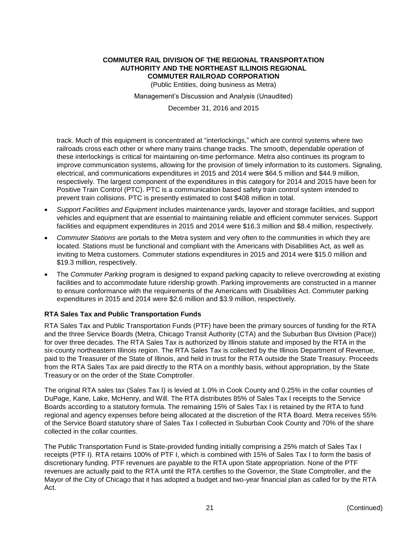(Public Entities, doing business as Metra)

Management's Discussion and Analysis (Unaudited)

December 31, 2016 and 2015

track. Much of this equipment is concentrated at "interlockings," which are control systems where two railroads cross each other or where many trains change tracks. The smooth, dependable operation of these interlockings is critical for maintaining on-time performance. Metra also continues its program to improve communication systems, allowing for the provision of timely information to its customers. Signaling, electrical, and communications expenditures in 2015 and 2014 were \$64.5 million and \$44.9 million, respectively. The largest component of the expenditures in this category for 2014 and 2015 have been for Positive Train Control (PTC). PTC is a communication based safety train control system intended to prevent train collisions. PTC is presently estimated to cost \$408 million in total.

- *Support Facilities and Equipment* includes maintenance yards, layover and storage facilities, and support vehicles and equipment that are essential to maintaining reliable and efficient commuter services. Support facilities and equipment expenditures in 2015 and 2014 were \$16.3 million and \$8.4 million, respectively.
- *Commuter Stations* are portals to the Metra system and very often to the communities in which they are located. Stations must be functional and compliant with the Americans with Disabilities Act, as well as inviting to Metra customers. Commuter stations expenditures in 2015 and 2014 were \$15.0 million and \$19.3 million, respectively.
- The *Commuter Parking* program is designed to expand parking capacity to relieve overcrowding at existing facilities and to accommodate future ridership growth. Parking improvements are constructed in a manner to ensure conformance with the requirements of the Americans with Disabilities Act. Commuter parking expenditures in 2015 and 2014 were \$2.6 million and \$3.9 million, respectively.

### **RTA Sales Tax and Public Transportation Funds**

RTA Sales Tax and Public Transportation Funds (PTF) have been the primary sources of funding for the RTA and the three Service Boards (Metra, Chicago Transit Authority (CTA) and the Suburban Bus Division (Pace)) for over three decades. The RTA Sales Tax is authorized by Illinois statute and imposed by the RTA in the six-county northeastern Illinois region. The RTA Sales Tax is collected by the Illinois Department of Revenue, paid to the Treasurer of the State of Illinois, and held in trust for the RTA outside the State Treasury. Proceeds from the RTA Sales Tax are paid directly to the RTA on a monthly basis, without appropriation, by the State Treasury or on the order of the State Comptroller.

The original RTA sales tax (Sales Tax I) is levied at 1.0% in Cook County and 0.25% in the collar counties of DuPage, Kane, Lake, McHenry, and Will. The RTA distributes 85% of Sales Tax I receipts to the Service Boards according to a statutory formula. The remaining 15% of Sales Tax I is retained by the RTA to fund regional and agency expenses before being allocated at the discretion of the RTA Board. Metra receives 55% of the Service Board statutory share of Sales Tax I collected in Suburban Cook County and 70% of the share collected in the collar counties.

The Public Transportation Fund is State-provided funding initially comprising a 25% match of Sales Tax I receipts (PTF I). RTA retains 100% of PTF I, which is combined with 15% of Sales Tax I to form the basis of discretionary funding. PTF revenues are payable to the RTA upon State appropriation. None of the PTF revenues are actually paid to the RTA until the RTA certifies to the Governor, the State Comptroller, and the Mayor of the City of Chicago that it has adopted a budget and two-year financial plan as called for by the RTA Act.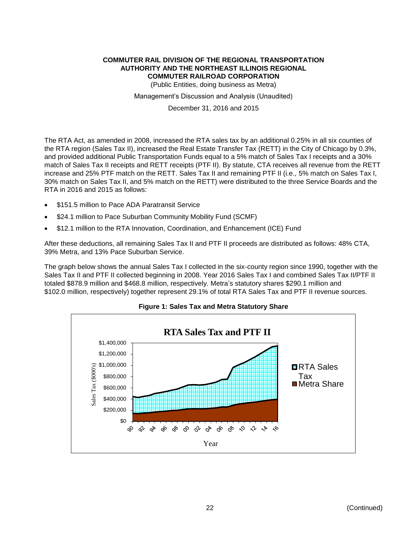(Public Entities, doing business as Metra)

Management's Discussion and Analysis (Unaudited)

December 31, 2016 and 2015

The RTA Act, as amended in 2008, increased the RTA sales tax by an additional 0.25% in all six counties of the RTA region (Sales Tax II), increased the Real Estate Transfer Tax (RETT) in the City of Chicago by 0.3%, and provided additional Public Transportation Funds equal to a 5% match of Sales Tax I receipts and a 30% match of Sales Tax II receipts and RETT receipts (PTF II). By statute, CTA receives all revenue from the RETT increase and 25% PTF match on the RETT. Sales Tax II and remaining PTF II (i.e., 5% match on Sales Tax I, 30% match on Sales Tax II, and 5% match on the RETT) were distributed to the three Service Boards and the RTA in 2016 and 2015 as follows:

- \$151.5 million to Pace ADA Paratransit Service
- \$24.1 million to Pace Suburban Community Mobility Fund (SCMF)
- \$12.1 million to the RTA Innovation, Coordination, and Enhancement (ICE) Fund

After these deductions, all remaining Sales Tax II and PTF II proceeds are distributed as follows: 48% CTA, 39% Metra, and 13% Pace Suburban Service.

The graph below shows the annual Sales Tax I collected in the six-county region since 1990, together with the Sales Tax II and PTF II collected beginning in 2008. Year 2016 Sales Tax I and combined Sales Tax II/PTF II totaled \$878.9 million and \$468.8 million, respectively. Metra's statutory shares \$290.1 million and \$102.0 million, respectively) together represent 29.1% of total RTA Sales Tax and PTF II revenue sources.



**Figure 1: Sales Tax and Metra Statutory Share**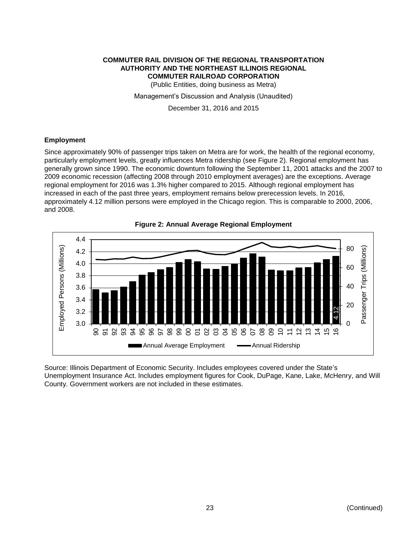(Public Entities, doing business as Metra)

Management's Discussion and Analysis (Unaudited)

December 31, 2016 and 2015

### **Employment**

Since approximately 90% of passenger trips taken on Metra are for work, the health of the regional economy, particularly employment levels, greatly influences Metra ridership (see Figure 2). Regional employment has generally grown since 1990. The economic downturn following the September 11, 2001 attacks and the 2007 to 2009 economic recession (affecting 2008 through 2010 employment averages) are the exceptions. Average regional employment for 2016 was 1.3% higher compared to 2015. Although regional employment has increased in each of the past three years, employment remains below prerecession levels. In 2016, approximately 4.12 million persons were employed in the Chicago region. This is comparable to 2000, 2006, and 2008.



**Figure 2: Annual Average Regional Employment**

Source: Illinois Department of Economic Security. Includes employees covered under the State's Unemployment Insurance Act. Includes employment figures for Cook, DuPage, Kane, Lake, McHenry, and Will County. Government workers are not included in these estimates.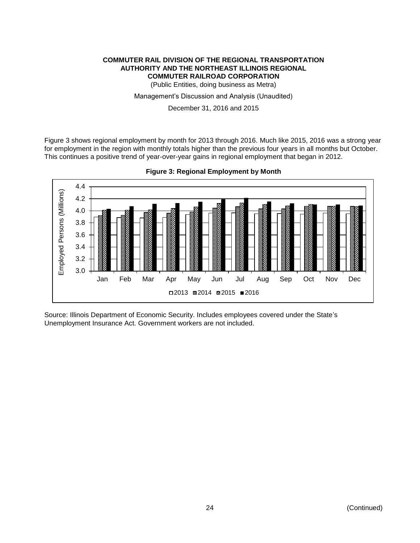(Public Entities, doing business as Metra)

Management's Discussion and Analysis (Unaudited)

December 31, 2016 and 2015

Figure 3 shows regional employment by month for 2013 through 2016. Much like 2015, 2016 was a strong year for employment in the region with monthly totals higher than the previous four years in all months but October. This continues a positive trend of year-over-year gains in regional employment that began in 2012.





Source: Illinois Department of Economic Security. Includes employees covered under the State's Unemployment Insurance Act. Government workers are not included.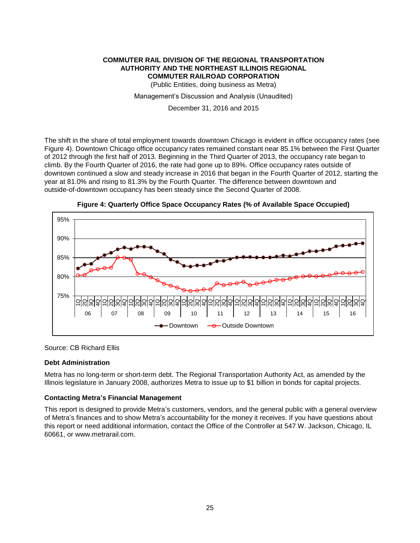(Public Entities, doing business as Metra)

#### Management's Discussion and Analysis (Unaudited)

December 31, 2016 and 2015

The shift in the share of total employment towards downtown Chicago is evident in office occupancy rates (see Figure 4). Downtown Chicago office occupancy rates remained constant near 85.1% between the First Quarter of 2012 through the first half of 2013. Beginning in the Third Quarter of 2013, the occupancy rate began to climb. By the Fourth Quarter of 2016, the rate had gone up to 89%. Office occupancy rates outside of downtown continued a slow and steady increase in 2016 that began in the Fourth Quarter of 2012, starting the year at 81.0% and rising to 81.3% by the Fourth Quarter. The difference between downtown and outside-of-downtown occupancy has been steady since the Second Quarter of 2008.



**Figure 4: Quarterly Office Space Occupancy Rates (% of Available Space Occupied)**

#### Source: CB Richard Ellis

#### **Debt Administration**

Metra has no long-term or short-term debt. The Regional Transportation Authority Act, as amended by the Illinois legislature in January 2008, authorizes Metra to issue up to \$1 billion in bonds for capital projects.

#### **Contacting Metra's Financial Management**

This report is designed to provide Metra's customers, vendors, and the general public with a general overview of Metra's finances and to show Metra's accountability for the money it receives. If you have questions about this report or need additional information, contact the Office of the Controller at 547 W. Jackson, Chicago, IL 60661, or www.metrarail.com.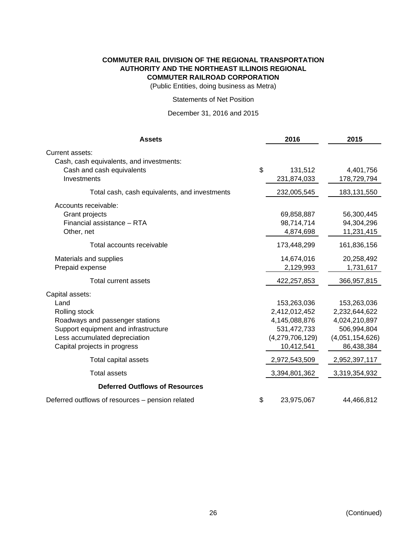(Public Entities, doing business as Metra)

Statements of Net Position

December 31, 2016 and 2015

| <b>Assets</b>                                    | 2016             | 2015            |
|--------------------------------------------------|------------------|-----------------|
| Current assets:                                  |                  |                 |
| Cash, cash equivalents, and investments:         |                  |                 |
| Cash and cash equivalents                        | \$<br>131,512    | 4,401,756       |
| Investments                                      | 231,874,033      | 178,729,794     |
| Total cash, cash equivalents, and investments    | 232,005,545      | 183, 131, 550   |
| Accounts receivable:                             |                  |                 |
| Grant projects                                   | 69,858,887       | 56,300,445      |
| Financial assistance - RTA                       | 98,714,714       | 94,304,296      |
| Other, net                                       | 4,874,698        | 11,231,415      |
| Total accounts receivable                        | 173,448,299      | 161,836,156     |
| Materials and supplies                           | 14,674,016       | 20,258,492      |
| Prepaid expense                                  | 2,129,993        | 1,731,617       |
| <b>Total current assets</b>                      | 422,257,853      | 366,957,815     |
| Capital assets:                                  |                  |                 |
| Land                                             | 153,263,036      | 153,263,036     |
| Rolling stock                                    | 2,412,012,452    | 2,232,644,622   |
| Roadways and passenger stations                  | 4,145,088,876    | 4,024,210,897   |
| Support equipment and infrastructure             | 531,472,733      | 506,994,804     |
| Less accumulated depreciation                    | (4,279,706,129)  | (4,051,154,626) |
| Capital projects in progress                     | 10,412,541       | 86,438,384      |
| Total capital assets                             | 2,972,543,509    | 2,952,397,117   |
| <b>Total assets</b>                              | 3,394,801,362    | 3,319,354,932   |
| <b>Deferred Outflows of Resources</b>            |                  |                 |
| Deferred outflows of resources - pension related | \$<br>23,975,067 | 44,466,812      |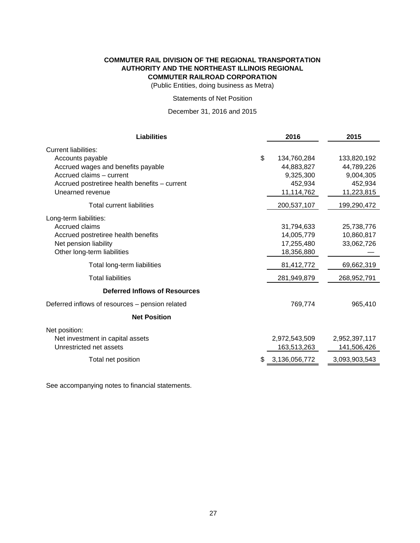(Public Entities, doing business as Metra)

Statements of Net Position

December 31, 2016 and 2015

| <b>Liabilities</b>                              | 2016                | 2015          |
|-------------------------------------------------|---------------------|---------------|
| <b>Current liabilities:</b>                     |                     |               |
| Accounts payable                                | \$<br>134,760,284   | 133,820,192   |
| Accrued wages and benefits payable              | 44,883,827          | 44,789,226    |
| Accrued claims - current                        | 9,325,300           | 9,004,305     |
| Accrued postretiree health benefits - current   | 452,934             | 452,934       |
| Unearned revenue                                | 11,114,762          | 11,223,815    |
| <b>Total current liabilities</b>                | 200,537,107         | 199,290,472   |
| Long-term liabilities:                          |                     |               |
| Accrued claims                                  | 31,794,633          | 25,738,776    |
| Accrued postretiree health benefits             | 14,005,779          | 10,860,817    |
| Net pension liability                           | 17,255,480          | 33,062,726    |
| Other long-term liabilities                     | 18,356,880          |               |
| Total long-term liabilities                     | 81,412,772          | 69,662,319    |
| <b>Total liabilities</b>                        | 281,949,879         | 268,952,791   |
| <b>Deferred Inflows of Resources</b>            |                     |               |
| Deferred inflows of resources - pension related | 769,774             | 965,410       |
| <b>Net Position</b>                             |                     |               |
| Net position:                                   |                     |               |
| Net investment in capital assets                | 2,972,543,509       | 2,952,397,117 |
| Unrestricted net assets                         | 163,513,263         | 141,506,426   |
| Total net position                              | \$<br>3,136,056,772 | 3,093,903,543 |

See accompanying notes to financial statements.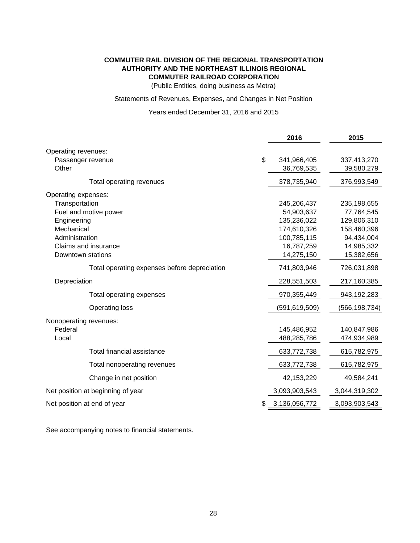(Public Entities, doing business as Metra)

Statements of Revenues, Expenses, and Changes in Net Position

### Years ended December 31, 2016 and 2015

|                                              | 2016                | 2015          |
|----------------------------------------------|---------------------|---------------|
| Operating revenues:<br>Passenger revenue     | \$<br>341,966,405   | 337,413,270   |
| Other                                        | 36,769,535          | 39,580,279    |
| Total operating revenues                     | 378,735,940         | 376,993,549   |
| Operating expenses:                          |                     |               |
| Transportation                               | 245,206,437         | 235, 198, 655 |
| Fuel and motive power                        | 54,903,637          | 77,764,545    |
| Engineering                                  | 135,236,022         | 129,806,310   |
| Mechanical                                   | 174,610,326         | 158,460,396   |
| Administration                               | 100,785,115         | 94,434,004    |
| Claims and insurance                         | 16,787,259          | 14,985,332    |
| Downtown stations                            | 14,275,150          | 15,382,656    |
| Total operating expenses before depreciation | 741,803,946         | 726,031,898   |
| Depreciation                                 | 228,551,503         | 217,160,385   |
| Total operating expenses                     | 970,355,449         | 943,192,283   |
| <b>Operating loss</b>                        | (591,619,509)       | (566,198,734) |
| Nonoperating revenues:                       |                     |               |
| Federal                                      | 145,486,952         | 140,847,986   |
| Local                                        | 488,285,786         | 474,934,989   |
| Total financial assistance                   | 633,772,738         | 615,782,975   |
| Total nonoperating revenues                  | 633,772,738         | 615,782,975   |
| Change in net position                       | 42,153,229          | 49,584,241    |
| Net position at beginning of year            | 3,093,903,543       | 3,044,319,302 |
| Net position at end of year                  | \$<br>3,136,056,772 | 3,093,903,543 |

See accompanying notes to financial statements.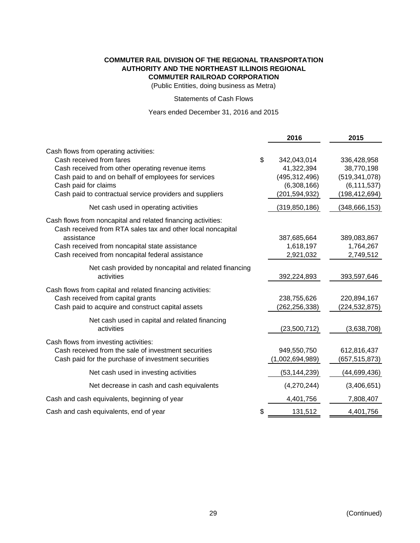(Public Entities, doing business as Metra)

### Statements of Cash Flows

### Years ended December 31, 2016 and 2015

|                                                                                                                                                                                                                                                                   | 2016                                                                               | 2015                                                                             |
|-------------------------------------------------------------------------------------------------------------------------------------------------------------------------------------------------------------------------------------------------------------------|------------------------------------------------------------------------------------|----------------------------------------------------------------------------------|
| Cash flows from operating activities:<br>Cash received from fares<br>Cash received from other operating revenue items<br>Cash paid to and on behalf of employees for services<br>Cash paid for claims<br>Cash paid to contractual service providers and suppliers | \$<br>342,043,014<br>41,322,394<br>(495, 312, 496)<br>(6,308,166)<br>(201,594,932) | 336,428,958<br>38,770,198<br>(519, 341, 078)<br>(6, 111, 537)<br>(198, 412, 694) |
| Net cash used in operating activities                                                                                                                                                                                                                             | (319,850,186)                                                                      | (348, 666, 153)                                                                  |
| Cash flows from noncapital and related financing activities:<br>Cash received from RTA sales tax and other local noncapital<br>assistance<br>Cash received from noncapital state assistance<br>Cash received from noncapital federal assistance                   | 387,685,664<br>1,618,197<br>2,921,032                                              | 389,083,867<br>1,764,267<br>2,749,512                                            |
| Net cash provided by noncapital and related financing<br>activities                                                                                                                                                                                               | 392,224,893                                                                        | 393,597,646                                                                      |
| Cash flows from capital and related financing activities:<br>Cash received from capital grants<br>Cash paid to acquire and construct capital assets                                                                                                               | 238,755,626<br>(262, 256, 338)                                                     | 220,894,167<br>(224,532,875)                                                     |
| Net cash used in capital and related financing<br>activities                                                                                                                                                                                                      | (23,500,712)                                                                       | (3,638,708)                                                                      |
| Cash flows from investing activities:<br>Cash received from the sale of investment securities<br>Cash paid for the purchase of investment securities                                                                                                              | 949,550,750<br>(1,002,694,989)                                                     | 612,816,437<br>(657,515,873)                                                     |
| Net cash used in investing activities                                                                                                                                                                                                                             | (53, 144, 239)                                                                     | (44,699,436)                                                                     |
| Net decrease in cash and cash equivalents                                                                                                                                                                                                                         | (4,270,244)                                                                        | (3,406,651)                                                                      |
| Cash and cash equivalents, beginning of year                                                                                                                                                                                                                      | 4,401,756                                                                          | 7,808,407                                                                        |
| Cash and cash equivalents, end of year                                                                                                                                                                                                                            | \$<br>131,512                                                                      | 4,401,756                                                                        |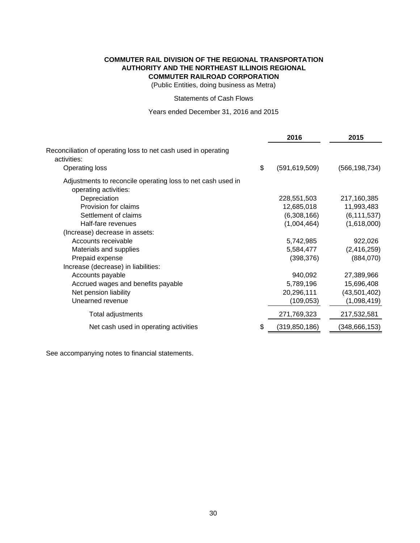(Public Entities, doing business as Metra)

### Statements of Cash Flows

### Years ended December 31, 2016 and 2015

| (566, 198, 734) |
|-----------------|
|                 |
| 217,160,385     |
| 11,993,483      |
| (6, 111, 537)   |
| (1,618,000)     |
|                 |
| 922,026         |
| (2,416,259)     |
| (884,070)       |
|                 |
| 27,389,966      |
| 15,696,408      |
| (43,501,402)    |
| (1,098,419)     |
| 217,532,581     |
| (348,666,153)   |
|                 |

See accompanying notes to financial statements.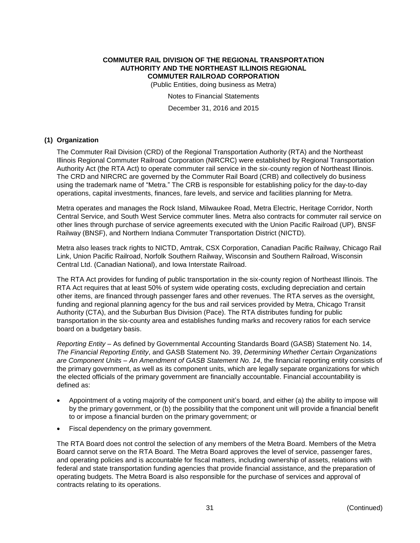(Public Entities, doing business as Metra)

Notes to Financial Statements

December 31, 2016 and 2015

### **(1) Organization**

The Commuter Rail Division (CRD) of the Regional Transportation Authority (RTA) and the Northeast Illinois Regional Commuter Railroad Corporation (NIRCRC) were established by Regional Transportation Authority Act (the RTA Act) to operate commuter rail service in the six-county region of Northeast Illinois. The CRD and NIRCRC are governed by the Commuter Rail Board (CRB) and collectively do business using the trademark name of "Metra." The CRB is responsible for establishing policy for the day-to-day operations, capital investments, finances, fare levels, and service and facilities planning for Metra.

Metra operates and manages the Rock Island, Milwaukee Road, Metra Electric, Heritage Corridor, North Central Service, and South West Service commuter lines. Metra also contracts for commuter rail service on other lines through purchase of service agreements executed with the Union Pacific Railroad (UP), BNSF Railway (BNSF), and Northern Indiana Commuter Transportation District (NICTD).

Metra also leases track rights to NICTD, Amtrak, CSX Corporation, Canadian Pacific Railway, Chicago Rail Link, Union Pacific Railroad, Norfolk Southern Railway, Wisconsin and Southern Railroad, Wisconsin Central Ltd. (Canadian National), and Iowa Interstate Railroad.

The RTA Act provides for funding of public transportation in the six-county region of Northeast Illinois. The RTA Act requires that at least 50% of system wide operating costs, excluding depreciation and certain other items, are financed through passenger fares and other revenues. The RTA serves as the oversight, funding and regional planning agency for the bus and rail services provided by Metra, Chicago Transit Authority (CTA), and the Suburban Bus Division (Pace). The RTA distributes funding for public transportation in the six-county area and establishes funding marks and recovery ratios for each service board on a budgetary basis.

*Reporting Entity* – As defined by Governmental Accounting Standards Board (GASB) Statement No. 14, *The Financial Reporting Entity*, and GASB Statement No. 39, *Determining Whether Certain Organizations are Component Units – An Amendment of GASB Statement No. 14*, the financial reporting entity consists of the primary government, as well as its component units, which are legally separate organizations for which the elected officials of the primary government are financially accountable. Financial accountability is defined as:

- Appointment of a voting majority of the component unit's board, and either (a) the ability to impose will by the primary government, or (b) the possibility that the component unit will provide a financial benefit to or impose a financial burden on the primary government; or
- Fiscal dependency on the primary government.

The RTA Board does not control the selection of any members of the Metra Board. Members of the Metra Board cannot serve on the RTA Board. The Metra Board approves the level of service, passenger fares, and operating policies and is accountable for fiscal matters, including ownership of assets, relations with federal and state transportation funding agencies that provide financial assistance, and the preparation of operating budgets. The Metra Board is also responsible for the purchase of services and approval of contracts relating to its operations.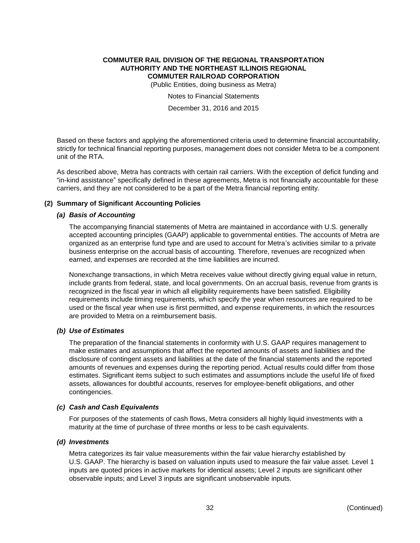(Public Entities, doing business as Metra)

Notes to Financial Statements

December 31, 2016 and 2015

Based on these factors and applying the aforementioned criteria used to determine financial accountability, strictly for technical financial reporting purposes, management does not consider Metra to be a component unit of the RTA.

As described above, Metra has contracts with certain rail carriers. With the exception of deficit funding and "in-kind assistance" specifically defined in these agreements, Metra is not financially accountable for these carriers, and they are not considered to be a part of the Metra financial reporting entity.

#### **(2) Summary of Significant Accounting Policies**

#### *(a) Basis of Accounting*

The accompanying financial statements of Metra are maintained in accordance with U.S. generally accepted accounting principles (GAAP) applicable to governmental entities. The accounts of Metra are organized as an enterprise fund type and are used to account for Metra's activities similar to a private business enterprise on the accrual basis of accounting. Therefore, revenues are recognized when earned, and expenses are recorded at the time liabilities are incurred.

Nonexchange transactions, in which Metra receives value without directly giving equal value in return, include grants from federal, state, and local governments. On an accrual basis, revenue from grants is recognized in the fiscal year in which all eligibility requirements have been satisfied. Eligibility requirements include timing requirements, which specify the year when resources are required to be used or the fiscal year when use is first permitted, and expense requirements, in which the resources are provided to Metra on a reimbursement basis.

#### *(b) Use of Estimates*

The preparation of the financial statements in conformity with U.S. GAAP requires management to make estimates and assumptions that affect the reported amounts of assets and liabilities and the disclosure of contingent assets and liabilities at the date of the financial statements and the reported amounts of revenues and expenses during the reporting period. Actual results could differ from those estimates. Significant items subject to such estimates and assumptions include the useful life of fixed assets, allowances for doubtful accounts, reserves for employee-benefit obligations, and other contingencies.

#### *(c) Cash and Cash Equivalents*

For purposes of the statements of cash flows, Metra considers all highly liquid investments with a maturity at the time of purchase of three months or less to be cash equivalents.

#### *(d) Investments*

Metra categorizes its fair value measurements within the fair value hierarchy established by U.S. GAAP. The hierarchy is based on valuation inputs used to measure the fair value asset. Level 1 inputs are quoted prices in active markets for identical assets; Level 2 inputs are significant other observable inputs; and Level 3 inputs are significant unobservable inputs.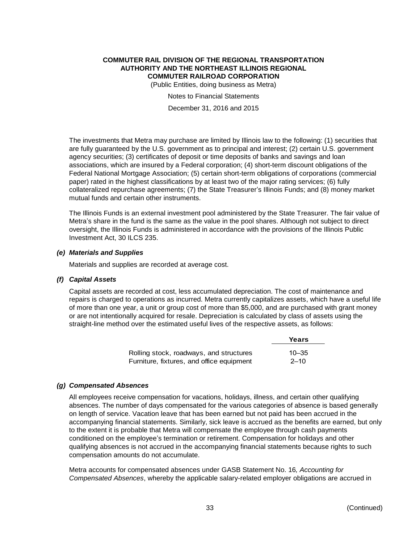(Public Entities, doing business as Metra)

Notes to Financial Statements

December 31, 2016 and 2015

The investments that Metra may purchase are limited by Illinois law to the following: (1) securities that are fully guaranteed by the U.S. government as to principal and interest; (2) certain U.S. government agency securities; (3) certificates of deposit or time deposits of banks and savings and loan associations, which are insured by a Federal corporation; (4) short-term discount obligations of the Federal National Mortgage Association; (5) certain short-term obligations of corporations (commercial paper) rated in the highest classifications by at least two of the major rating services; (6) fully collateralized repurchase agreements; (7) the State Treasurer's Illinois Funds; and (8) money market mutual funds and certain other instruments.

The Illinois Funds is an external investment pool administered by the State Treasurer. The fair value of Metra's share in the fund is the same as the value in the pool shares. Although not subject to direct oversight, the Illinois Funds is administered in accordance with the provisions of the Illinois Public Investment Act, 30 ILCS 235.

#### *(e) Materials and Supplies*

Materials and supplies are recorded at average cost.

#### *(f) Capital Assets*

Capital assets are recorded at cost, less accumulated depreciation. The cost of maintenance and repairs is charged to operations as incurred. Metra currently capitalizes assets, which have a useful life of more than one year, a unit or group cost of more than \$5,000, and are purchased with grant money or are not intentionally acquired for resale. Depreciation is calculated by class of assets using the straight-line method over the estimated useful lives of the respective assets, as follows:

|                                           | Years     |
|-------------------------------------------|-----------|
| Rolling stock, roadways, and structures   | $10 - 35$ |
| Furniture, fixtures, and office equipment | $2 - 10$  |

#### *(g) Compensated Absences*

All employees receive compensation for vacations, holidays, illness, and certain other qualifying absences. The number of days compensated for the various categories of absence is based generally on length of service. Vacation leave that has been earned but not paid has been accrued in the accompanying financial statements. Similarly, sick leave is accrued as the benefits are earned, but only to the extent it is probable that Metra will compensate the employee through cash payments conditioned on the employee's termination or retirement. Compensation for holidays and other qualifying absences is not accrued in the accompanying financial statements because rights to such compensation amounts do not accumulate.

Metra accounts for compensated absences under GASB Statement No. 16*, Accounting for Compensated Absences*, whereby the applicable salary-related employer obligations are accrued in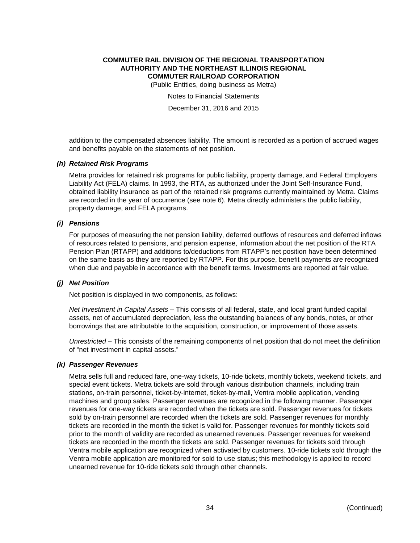(Public Entities, doing business as Metra)

Notes to Financial Statements

December 31, 2016 and 2015

addition to the compensated absences liability. The amount is recorded as a portion of accrued wages and benefits payable on the statements of net position.

#### *(h) Retained Risk Programs*

Metra provides for retained risk programs for public liability, property damage, and Federal Employers Liability Act (FELA) claims. In 1993, the RTA, as authorized under the Joint Self-Insurance Fund, obtained liability insurance as part of the retained risk programs currently maintained by Metra. Claims are recorded in the year of occurrence (see note 6). Metra directly administers the public liability, property damage, and FELA programs.

#### *(i) Pensions*

For purposes of measuring the net pension liability, deferred outflows of resources and deferred inflows of resources related to pensions, and pension expense, information about the net position of the RTA Pension Plan (RTAPP) and additions to/deductions from RTAPP's net position have been determined on the same basis as they are reported by RTAPP. For this purpose, benefit payments are recognized when due and payable in accordance with the benefit terms. Investments are reported at fair value.

#### *(j) Net Position*

Net position is displayed in two components, as follows:

*Net Investment in Capital Assets* – This consists of all federal, state, and local grant funded capital assets, net of accumulated depreciation, less the outstanding balances of any bonds, notes, or other borrowings that are attributable to the acquisition, construction, or improvement of those assets.

*Unrestricted* – This consists of the remaining components of net position that do not meet the definition of "net investment in capital assets."

#### *(k) Passenger Revenues*

Metra sells full and reduced fare, one-way tickets, 10-ride tickets, monthly tickets, weekend tickets, and special event tickets. Metra tickets are sold through various distribution channels, including train stations, on-train personnel, ticket-by-internet, ticket-by-mail, Ventra mobile application, vending machines and group sales. Passenger revenues are recognized in the following manner. Passenger revenues for one-way tickets are recorded when the tickets are sold. Passenger revenues for tickets sold by on-train personnel are recorded when the tickets are sold. Passenger revenues for monthly tickets are recorded in the month the ticket is valid for. Passenger revenues for monthly tickets sold prior to the month of validity are recorded as unearned revenues. Passenger revenues for weekend tickets are recorded in the month the tickets are sold. Passenger revenues for tickets sold through Ventra mobile application are recognized when activated by customers. 10-ride tickets sold through the Ventra mobile application are monitored for sold to use status; this methodology is applied to record unearned revenue for 10-ride tickets sold through other channels.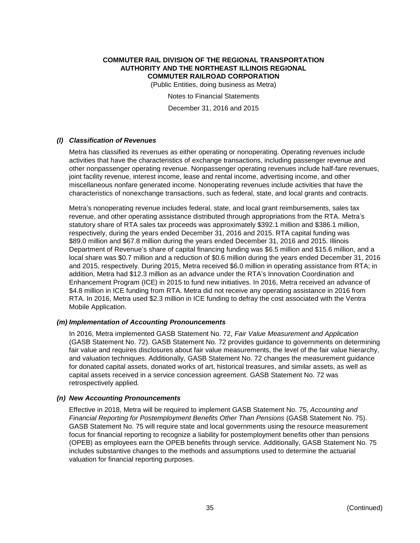(Public Entities, doing business as Metra)

Notes to Financial Statements

December 31, 2016 and 2015

### *(l) Classification of Revenues*

Metra has classified its revenues as either operating or nonoperating. Operating revenues include activities that have the characteristics of exchange transactions, including passenger revenue and other nonpassenger operating revenue. Nonpassenger operating revenues include half-fare revenues, joint facility revenue, interest income, lease and rental income, advertising income, and other miscellaneous nonfare generated income. Nonoperating revenues include activities that have the characteristics of nonexchange transactions, such as federal, state, and local grants and contracts.

Metra's nonoperating revenue includes federal, state, and local grant reimbursements, sales tax revenue, and other operating assistance distributed through appropriations from the RTA. Metra's statutory share of RTA sales tax proceeds was approximately \$392.1 million and \$386.1 million, respectively, during the years ended December 31, 2016 and 2015. RTA capital funding was \$89.0 million and \$67.8 million during the years ended December 31, 2016 and 2015. Illinois Department of Revenue's share of capital financing funding was \$6.5 million and \$15.6 million, and a local share was \$0.7 million and a reduction of \$0.6 million during the years ended December 31, 2016 and 2015, respectively. During 2015, Metra received \$6.0 million in operating assistance from RTA; in addition, Metra had \$12.3 million as an advance under the RTA's Innovation Coordination and Enhancement Program (ICE) in 2015 to fund new initiatives. In 2016, Metra received an advance of \$4.8 million in ICE funding from RTA. Metra did not receive any operating assistance in 2016 from RTA. In 2016, Metra used \$2.3 million in ICE funding to defray the cost associated with the Ventra Mobile Application.

#### *(m) Implementation of Accounting Pronouncements*

In 2016, Metra implemented GASB Statement No. 72, *Fair Value Measurement and Application* (GASB Statement No. 72). GASB Statement No. 72 provides guidance to governments on determining fair value and requires disclosures about fair value measurements, the level of the fair value hierarchy, and valuation techniques. Additionally, GASB Statement No. 72 changes the measurement guidance for donated capital assets, donated works of art, historical treasures, and similar assets, as well as capital assets received in a service concession agreement. GASB Statement No. 72 was retrospectively applied.

#### *(n) New Accounting Pronouncements*

Effective in 2018, Metra will be required to implement GASB Statement No. 75, *Accounting and Financial Reporting for Postemployment Benefits Other Than Pensions* (GASB Statement No. 75). GASB Statement No. 75 will require state and local governments using the resource measurement focus for financial reporting to recognize a liability for postemployment benefits other than pensions (OPEB) as employees earn the OPEB benefits through service. Additionally, GASB Statement No. 75 includes substantive changes to the methods and assumptions used to determine the actuarial valuation for financial reporting purposes.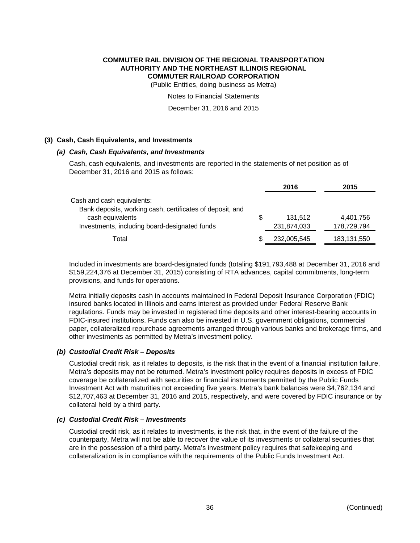(Public Entities, doing business as Metra)

Notes to Financial Statements

December 31, 2016 and 2015

#### **(3) Cash, Cash Equivalents, and Investments**

#### *(a) Cash, Cash Equivalents, and Investments*

Cash, cash equivalents, and investments are reported in the statements of net position as of December 31, 2016 and 2015 as follows:

|                                                           |    | 2016        | 2015        |
|-----------------------------------------------------------|----|-------------|-------------|
| Cash and cash equivalents:                                |    |             |             |
| Bank deposits, working cash, certificates of deposit, and |    |             |             |
| cash equivalents                                          | \$ | 131.512     | 4,401,756   |
| Investments, including board-designated funds             |    | 231,874,033 | 178,729,794 |
| Total                                                     | S  | 232,005,545 | 183,131,550 |

Included in investments are board-designated funds (totaling \$191,793,488 at December 31, 2016 and \$159,224,376 at December 31, 2015) consisting of RTA advances, capital commitments, long-term provisions, and funds for operations.

Metra initially deposits cash in accounts maintained in Federal Deposit Insurance Corporation (FDIC) insured banks located in Illinois and earns interest as provided under Federal Reserve Bank regulations. Funds may be invested in registered time deposits and other interest-bearing accounts in FDIC-insured institutions. Funds can also be invested in U.S. government obligations, commercial paper, collateralized repurchase agreements arranged through various banks and brokerage firms, and other investments as permitted by Metra's investment policy.

#### *(b) Custodial Credit Risk – Deposits*

Custodial credit risk, as it relates to deposits, is the risk that in the event of a financial institution failure, Metra's deposits may not be returned. Metra's investment policy requires deposits in excess of FDIC coverage be collateralized with securities or financial instruments permitted by the Public Funds Investment Act with maturities not exceeding five years. Metra's bank balances were \$4,762,134 and \$12,707,463 at December 31, 2016 and 2015, respectively, and were covered by FDIC insurance or by collateral held by a third party.

#### *(c) Custodial Credit Risk – Investments*

Custodial credit risk, as it relates to investments, is the risk that, in the event of the failure of the counterparty, Metra will not be able to recover the value of its investments or collateral securities that are in the possession of a third party. Metra's investment policy requires that safekeeping and collateralization is in compliance with the requirements of the Public Funds Investment Act.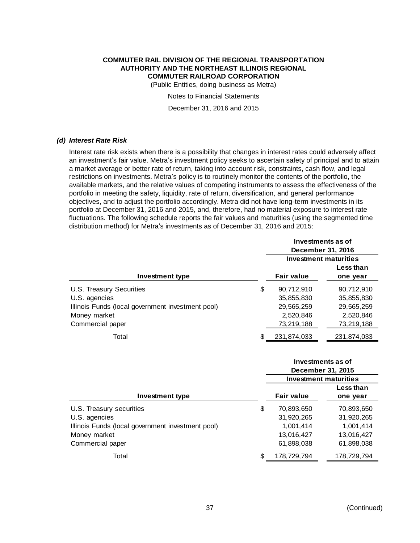(Public Entities, doing business as Metra)

Notes to Financial Statements

December 31, 2016 and 2015

#### *(d) Interest Rate Risk*

Interest rate risk exists when there is a possibility that changes in interest rates could adversely affect an investment's fair value. Metra's investment policy seeks to ascertain safety of principal and to attain a market average or better rate of return, taking into account risk, constraints, cash flow, and legal restrictions on investments. Metra's policy is to routinely monitor the contents of the portfolio, the available markets, and the relative values of competing instruments to assess the effectiveness of the portfolio in meeting the safety, liquidity, rate of return, diversification, and general performance objectives, and to adjust the portfolio accordingly. Metra did not have long-term investments in its portfolio at December 31, 2016 and 2015, and, therefore, had no material exposure to interest rate fluctuations. The following schedule reports the fair values and maturities (using the segmented time distribution method) for Metra's investments as of December 31, 2016 and 2015:

|                                                                                                                                    | Investments as of<br>December 31, 2016<br><b>Investment maturities</b>  |                                                                   |  |
|------------------------------------------------------------------------------------------------------------------------------------|-------------------------------------------------------------------------|-------------------------------------------------------------------|--|
| Investment type                                                                                                                    | <b>Fair value</b>                                                       | Less than<br>one year                                             |  |
| U.S. Treasury Securities<br>U.S. agencies<br>Illinois Funds (local government investment pool)<br>Money market<br>Commercial paper | \$<br>90,712,910<br>35,855,830<br>29,565,259<br>2,520,846<br>73,219,188 | 90,712,910<br>35,855,830<br>29,565,259<br>2,520,846<br>73,219,188 |  |
| Total                                                                                                                              | \$<br>231,874,033                                                       | 231,874,033                                                       |  |

|                                                   | Investments as of<br>December 31, 2015 |             |
|---------------------------------------------------|----------------------------------------|-------------|
|                                                   | <b>Investment maturities</b>           |             |
|                                                   |                                        | Less than   |
| Investment type                                   | <b>Fair value</b>                      | one year    |
| U.S. Treasury securities                          | \$<br>70,893,650                       | 70,893,650  |
| U.S. agencies                                     | 31,920,265                             | 31,920,265  |
| Illinois Funds (local government investment pool) | 1,001,414                              | 1,001,414   |
| Money market                                      | 13,016,427                             | 13,016,427  |
| Commercial paper                                  | 61,898,038                             | 61,898,038  |
| Total                                             | \$<br>178,729,794                      | 178,729,794 |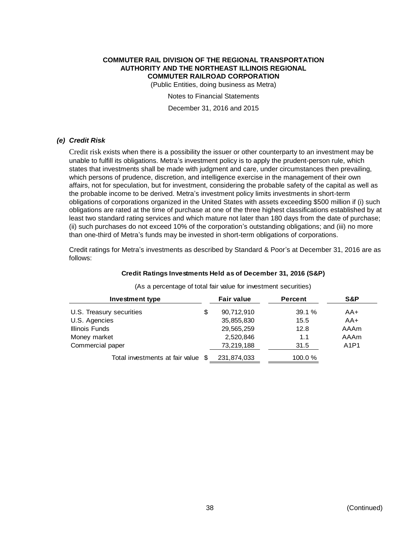(Public Entities, doing business as Metra)

Notes to Financial Statements

December 31, 2016 and 2015

### *(e) Credit Risk*

Credit risk exists when there is a possibility the issuer or other counterparty to an investment may be unable to fulfill its obligations. Metra's investment policy is to apply the prudent-person rule, which states that investments shall be made with judgment and care, under circumstances then prevailing, which persons of prudence, discretion, and intelligence exercise in the management of their own affairs, not for speculation, but for investment, considering the probable safety of the capital as well as the probable income to be derived. Metra's investment policy limits investments in short-term obligations of corporations organized in the United States with assets exceeding \$500 million if (i) such obligations are rated at the time of purchase at one of the three highest classifications established by at least two standard rating services and which mature not later than 180 days from the date of purchase; (ii) such purchases do not exceed 10% of the corporation's outstanding obligations; and (iii) no more than one-third of Metra's funds may be invested in short-term obligations of corporations.

Credit ratings for Metra's investments as described by Standard & Poor's at December 31, 2016 are as follows:

| Investment type                    | <b>Fair value</b> | <b>Percent</b> | S&P   |
|------------------------------------|-------------------|----------------|-------|
| U.S. Treasury securities           | \$<br>90,712,910  | 39.1%          | AA+   |
| U.S. Agencies                      | 35,855,830        | 15.5           | $AA+$ |
| Illinois Funds                     | 29,565,259        | 12.8           | AAAm  |
| Money market                       | 2,520,846         | 1.1            | AAAm  |
| Commercial paper                   | 73,219,188        | 31.5           | A1P1  |
| Total investments at fair value \$ | 231,874,033       | 100.0 %        |       |

#### **Credit Ratings Investments Held as of December 31, 2016 (S&P)**

(As a percentage of total fair value for investment securities)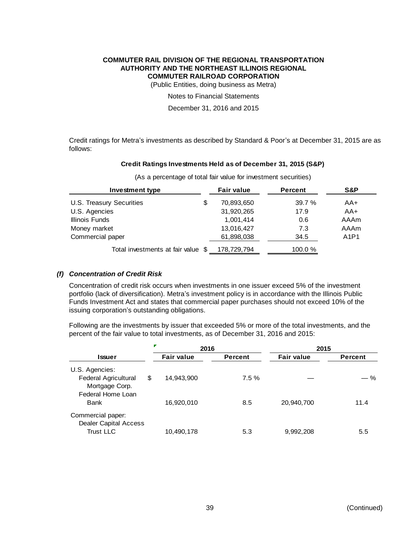(Public Entities, doing business as Metra)

Notes to Financial Statements

December 31, 2016 and 2015

Credit ratings for Metra's investments as described by Standard & Poor's at December 31, 2015 are as follows:

#### **Credit Ratings Investments Held as of December 31, 2015 (S&P)**

| Investment type                    | <b>Fair value</b> | Percent | S&P  |
|------------------------------------|-------------------|---------|------|
| U.S. Treasury Securities           | 70,893,650        | 39.7%   | AA+  |
| U.S. Agencies                      | 31,920,265        | 17.9    | AA+  |
| Illinois Funds                     | 1,001,414         | 0.6     | AAAm |
| Money market                       | 13,016,427        | 7.3     | AAAm |
| Commercial paper                   | 61,898,038        | 34.5    | A1P1 |
| Total investments at fair value \$ | 178,729,794       | 100.0%  |      |

(As a percentage of total fair value for investment securities)

#### *(f) Concentration of Credit Risk*

Concentration of credit risk occurs when investments in one issuer exceed 5% of the investment portfolio (lack of diversification). Metra's investment policy is in accordance with the Illinois Public Funds Investment Act and states that commercial paper purchases should not exceed 10% of the issuing corporation's outstanding obligations.

Following are the investments by issuer that exceeded 5% or more of the total investments, and the percent of the fair value to total investments, as of December 31, 2016 and 2015:

|                                                                    | п  | 2016              |         | 2015              |                |  |  |
|--------------------------------------------------------------------|----|-------------------|---------|-------------------|----------------|--|--|
| <b>Issuer</b>                                                      |    | <b>Fair value</b> | Percent | <b>Fair value</b> | <b>Percent</b> |  |  |
| U.S. Agencies:                                                     |    |                   |         |                   |                |  |  |
| <b>Federal Agricultural</b><br>Mortgage Corp.<br>Federal Home Loan | \$ | 14,943,900        | 7.5%    |                   | — %            |  |  |
| <b>Bank</b>                                                        |    | 16,920,010        | 8.5     | 20,940,700        | 11.4           |  |  |
| Commercial paper:<br><b>Dealer Capital Access</b>                  |    |                   |         |                   |                |  |  |
| Trust LLC                                                          |    | 10,490,178        | 5.3     | 9,992,208         | 5.5            |  |  |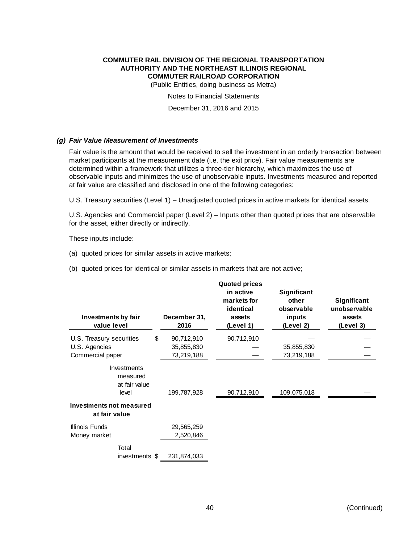(Public Entities, doing business as Metra)

Notes to Financial Statements

December 31, 2016 and 2015

#### *(g) Fair Value Measurement of Investments*

Fair value is the amount that would be received to sell the investment in an orderly transaction between market participants at the measurement date (i.e. the exit price). Fair value measurements are determined within a framework that utilizes a three‐tier hierarchy, which maximizes the use of observable inputs and minimizes the use of unobservable inputs. Investments measured and reported at fair value are classified and disclosed in one of the following categories:

U.S. Treasury securities (Level 1) – Unadjusted quoted prices in active markets for identical assets.

U.S. Agencies and Commercial paper (Level 2) – Inputs other than quoted prices that are observable for the asset, either directly or indirectly.

These inputs include:

- (a) quoted prices for similar assets in active markets;
- (b) quoted prices for identical or similar assets in markets that are not active;

| Investments by fair<br>value level                       | December 31,<br>2016    | <b>Quoted prices</b><br>in active<br>markets for<br>identical<br>assets<br>(Level 1) | Significant<br>other<br>observable<br>inputs<br>(Level 2) | Significant<br>unobservable<br>assets<br>(Level 3) |
|----------------------------------------------------------|-------------------------|--------------------------------------------------------------------------------------|-----------------------------------------------------------|----------------------------------------------------|
| U.S. Treasury securities                                 | \$<br>90,712,910        | 90,712,910                                                                           |                                                           |                                                    |
| U.S. Agencies                                            | 35,855,830              |                                                                                      | 35,855,830                                                |                                                    |
| Commercial paper                                         | 73,219,188              |                                                                                      | 73,219,188                                                |                                                    |
| <b>Investments</b><br>measured<br>at fair value<br>level | 199,787,928             | 90,712,910                                                                           | 109,075,018                                               |                                                    |
| Investments not measured<br>at fair value                |                         |                                                                                      |                                                           |                                                    |
| Illinois Funds<br>Money market                           | 29,565,259<br>2,520,846 |                                                                                      |                                                           |                                                    |
| Total<br>investments                                     | 231,874,033             |                                                                                      |                                                           |                                                    |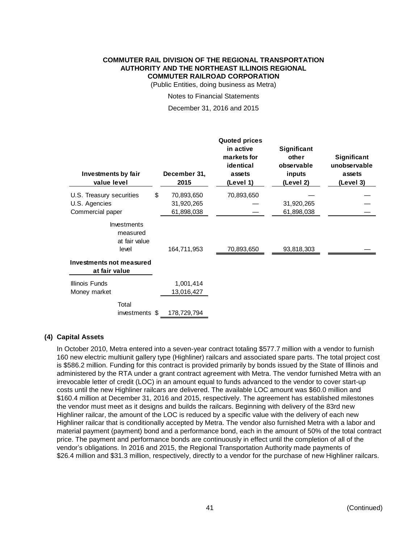(Public Entities, doing business as Metra)

Notes to Financial Statements

December 31, 2016 and 2015

| Investments by fair<br>value level                       | December 31,<br>2015 | <b>Quoted prices</b><br>in active<br>markets for<br>identical<br>assets<br>(Level 1) | Significant<br>other<br>observable<br>inputs<br>(Level 2) | Significant<br>unobservable<br>assets<br>(Level 3) |
|----------------------------------------------------------|----------------------|--------------------------------------------------------------------------------------|-----------------------------------------------------------|----------------------------------------------------|
| U.S. Treasury securities                                 | \$<br>70,893,650     | 70,893,650                                                                           |                                                           |                                                    |
| U.S. Agencies                                            | 31,920,265           |                                                                                      | 31,920,265                                                |                                                    |
| Commercial paper                                         | 61,898,038           |                                                                                      | 61,898,038                                                |                                                    |
| <b>Investments</b><br>measured<br>at fair value<br>level | 164,711,953          | 70,893,650                                                                           | 93,818,303                                                |                                                    |
| Investments not measured<br>at fair value                |                      |                                                                                      |                                                           |                                                    |
| Illinois Funds                                           | 1,001,414            |                                                                                      |                                                           |                                                    |
| Money market                                             | 13,016,427           |                                                                                      |                                                           |                                                    |
| Total<br>investments                                     | 178,729,794          |                                                                                      |                                                           |                                                    |

#### **(4) Capital Assets**

In October 2010, Metra entered into a seven-year contract totaling \$577.7 million with a vendor to furnish 160 new electric multiunit gallery type (Highliner) railcars and associated spare parts. The total project cost is \$586.2 million. Funding for this contract is provided primarily by bonds issued by the State of Illinois and administered by the RTA under a grant contract agreement with Metra. The vendor furnished Metra with an irrevocable letter of credit (LOC) in an amount equal to funds advanced to the vendor to cover start-up costs until the new Highliner railcars are delivered. The available LOC amount was \$60.0 million and \$160.4 million at December 31, 2016 and 2015, respectively. The agreement has established milestones the vendor must meet as it designs and builds the railcars. Beginning with delivery of the 83rd new Highliner railcar, the amount of the LOC is reduced by a specific value with the delivery of each new Highliner railcar that is conditionally accepted by Metra. The vendor also furnished Metra with a labor and material payment (payment) bond and a performance bond, each in the amount of 50% of the total contract price. The payment and performance bonds are continuously in effect until the completion of all of the vendor's obligations. In 2016 and 2015, the Regional Transportation Authority made payments of \$26.4 million and \$31.3 million, respectively, directly to a vendor for the purchase of new Highliner railcars.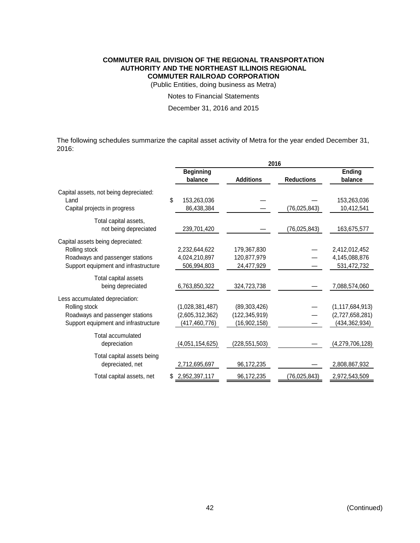(Public Entities, doing business as Metra)

Notes to Financial Statements

December 31, 2016 and 2015

The following schedules summarize the capital asset activity of Metra for the year ended December 31, 2016:

|                                                    |    | 2016             |                  |                   |                    |  |
|----------------------------------------------------|----|------------------|------------------|-------------------|--------------------|--|
|                                                    |    | <b>Beginning</b> |                  |                   | <b>Ending</b>      |  |
|                                                    |    | balance          | <b>Additions</b> | <b>Reductions</b> | balance            |  |
| Capital assets, not being depreciated:             |    |                  |                  |                   |                    |  |
| Land                                               | \$ | 153,263,036      |                  |                   | 153,263,036        |  |
| Capital projects in progress                       |    | 86,438,384       |                  | (76,025,843)      | 10,412,541         |  |
| Total capital assets,<br>not being depreciated     |    | 239,701,420      |                  | (76,025,843)      | 163,675,577        |  |
|                                                    |    |                  |                  |                   |                    |  |
| Capital assets being depreciated:<br>Rolling stock |    | 2,232,644,622    | 179,367,830      |                   | 2,412,012,452      |  |
| Roadways and passenger stations                    |    | 4,024,210,897    | 120,877,979      |                   | 4,145,088,876      |  |
| Support equipment and infrastructure               |    | 506,994,803      | 24,477,929       |                   | 531,472,732        |  |
|                                                    |    |                  |                  |                   |                    |  |
| Total capital assets                               |    |                  |                  |                   |                    |  |
| being depreciated                                  |    | 6,763,850,322    | 324,723,738      |                   | 7,088,574,060      |  |
| Less accumulated depreciation:                     |    |                  |                  |                   |                    |  |
| Rolling stock                                      |    | (1,028,381,487)  | (89, 303, 426)   |                   | (1, 117, 684, 913) |  |
| Roadways and passenger stations                    |    | (2,605,312,362)  | (122, 345, 919)  |                   | (2,727,658,281)    |  |
| Support equipment and infrastructure               |    | (417,460,776)    | (16,902,158)     |                   | (434,362,934)      |  |
| Total accumulated                                  |    |                  |                  |                   |                    |  |
| depreciation                                       |    | (4,051,154,625)  | (228, 551, 503)  |                   | (4,279,706,128)    |  |
| Total capital assets being<br>depreciated, net     |    | 2,712,695,697    | 96,172,235       |                   | 2,808,867,932      |  |
| Total capital assets, net                          | S. | 2,952,397,117    | 96,172,235       | (76,025,843)      | 2,972,543,509      |  |
|                                                    |    |                  |                  |                   |                    |  |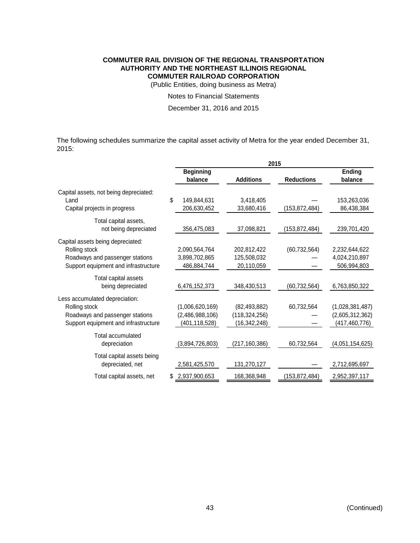(Public Entities, doing business as Metra)

Notes to Financial Statements

December 31, 2016 and 2015

The following schedules summarize the capital asset activity of Metra for the year ended December 31, 2015:

|                                        |     | 2015             |                  |                   |                 |  |
|----------------------------------------|-----|------------------|------------------|-------------------|-----------------|--|
|                                        |     | <b>Beginning</b> |                  |                   | Ending          |  |
|                                        |     | balance          | <b>Additions</b> | <b>Reductions</b> | balance         |  |
| Capital assets, not being depreciated: |     |                  |                  |                   |                 |  |
| Land                                   | \$. | 149,844,631      | 3,418,405        |                   | 153,263,036     |  |
| Capital projects in progress           |     | 206,630,452      | 33,680,416       | (153,872,484)     | 86,438,384      |  |
| Total capital assets,                  |     |                  |                  |                   |                 |  |
| not being depreciated                  |     | 356,475,083      | 37,098,821       | (153,872,484)     | 239,701,420     |  |
| Capital assets being depreciated:      |     |                  |                  |                   |                 |  |
| Rolling stock                          |     | 2,090,564,764    | 202,812,422      | (60, 732, 564)    | 2,232,644,622   |  |
| Roadways and passenger stations        |     | 3,898,702,865    | 125,508,032      |                   | 4,024,210,897   |  |
| Support equipment and infrastructure   |     | 486,884,744      | 20,110,059       |                   | 506,994,803     |  |
| Total capital assets                   |     |                  |                  |                   |                 |  |
| being depreciated                      |     | 6,476,152,373    | 348,430,513      | (60, 732, 564)    | 6,763,850,322   |  |
| Less accumulated depreciation:         |     |                  |                  |                   |                 |  |
| Rolling stock                          |     | (1,006,620,169)  | (82, 493, 882)   | 60,732,564        | (1,028,381,487) |  |
| Roadways and passenger stations        |     | (2,486,988,106)  | (118, 324, 256)  |                   | (2,605,312,362) |  |
| Support equipment and infrastructure   |     | (401,118,528)    | (16,342,248)     |                   | (417,460,776)   |  |
| Total accumulated                      |     |                  |                  |                   |                 |  |
| depreciation                           |     | (3,894,726,803)  | (217, 160, 386)  | 60,732,564        | (4,051,154,625) |  |
| Total capital assets being             |     |                  |                  |                   |                 |  |
| depreciated, net                       |     | 2,581,425,570    | 131,270,127      |                   | 2,712,695,697   |  |
| Total capital assets, net              | S.  | 2,937,900,653    | 168,368,948      | (153,872,484)     | 2,952,397,117   |  |
|                                        |     |                  |                  |                   |                 |  |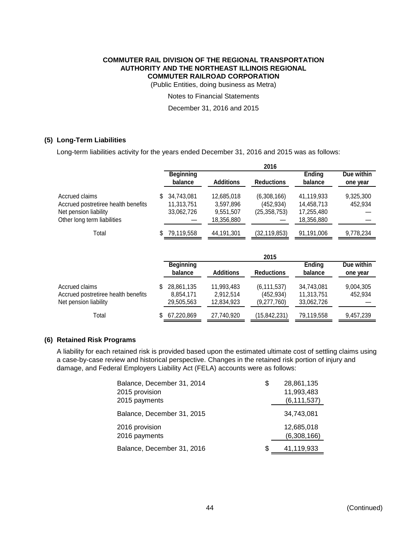(Public Entities, doing business as Metra)

Notes to Financial Statements

December 31, 2016 and 2015

#### **(5) Long-Term Liabilities**

Long-term liabilities activity for the years ended December 31, 2016 and 2015 was as follows:

|                                     | 2016 |                             |                  |                   |                          |                        |  |
|-------------------------------------|------|-----------------------------|------------------|-------------------|--------------------------|------------------------|--|
|                                     |      | <b>Beginning</b><br>balance | <b>Additions</b> | <b>Reductions</b> | <b>Ending</b><br>balance | Due within<br>one year |  |
| Accrued claims                      | S    | 34,743,081                  | 12,685,018       | (6,308,166)       | 41,119,933               | 9,325,300              |  |
| Accrued postretiree health benefits |      | 11,313,751                  | 3,597,896        | (452, 934)        | 14,458,713               | 452,934                |  |
| Net pension liability               |      | 33,062,726                  | 9,551,507        | (25, 358, 753)    | 17,255,480               |                        |  |
| Other long term liabilities         |      |                             | 18,356,880       |                   | 18,356,880               |                        |  |
| Total                               |      | 79,119,558                  | 44,191,301       | (32, 119, 853)    | 91,191,006               | 9,778,234              |  |

|                                                                                | 2015 |                                       |                                       |                                            |                                        |                        |  |
|--------------------------------------------------------------------------------|------|---------------------------------------|---------------------------------------|--------------------------------------------|----------------------------------------|------------------------|--|
|                                                                                |      | <b>Beginning</b><br>balance           | <b>Additions</b>                      | <b>Reductions</b>                          | <b>Ending</b><br>balance               | Due within<br>one year |  |
| Accrued claims<br>Accrued postretiree health benefits<br>Net pension liability |      | 28,861,135<br>8,854,171<br>29,505,563 | 11,993,483<br>2.912.514<br>12,834,923 | (6, 111, 537)<br>(452, 934)<br>(9,277,760) | 34,743,081<br>11,313,751<br>33,062,726 | 9,004,305<br>452,934   |  |
| Total                                                                          |      | 67,220,869                            | 27,740,920                            | (15,842,231)                               | 79,119,558                             | 9,457,239              |  |

### **(6) Retained Risk Programs**

A liability for each retained risk is provided based upon the estimated ultimate cost of settling claims using a case-by-case review and historical perspective. Changes in the retained risk portion of injury and damage, and Federal Employers Liability Act (FELA) accounts were as follows:

| Balance, December 31, 2014<br>2015 provision<br>2015 payments | \$ | 28,861,135<br>11,993,483<br>(6, 111, 537) |
|---------------------------------------------------------------|----|-------------------------------------------|
| Balance, December 31, 2015                                    |    | 34.743.081                                |
| 2016 provision<br>2016 payments                               |    | 12,685,018<br>(6,308,166)                 |
| Balance, December 31, 2016                                    | S  | 41,119,933                                |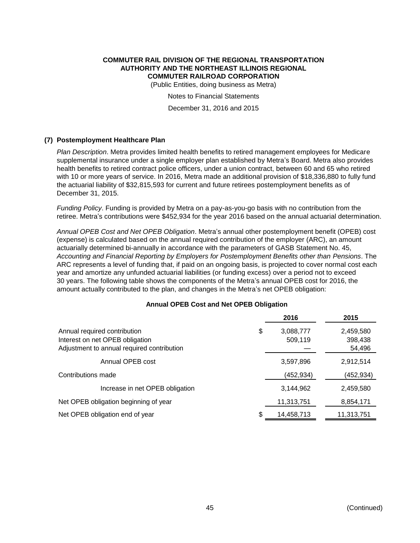(Public Entities, doing business as Metra)

Notes to Financial Statements

December 31, 2016 and 2015

#### **(7) Postemployment Healthcare Plan**

*Plan Description*. Metra provides limited health benefits to retired management employees for Medicare supplemental insurance under a single employer plan established by Metra's Board. Metra also provides health benefits to retired contract police officers, under a union contract, between 60 and 65 who retired with 10 or more years of service. In 2016, Metra made an additional provision of \$18,336,880 to fully fund the actuarial liability of \$32,815,593 for current and future retirees postemployment benefits as of December 31, 2015.

*Funding Policy*. Funding is provided by Metra on a pay-as-you-go basis with no contribution from the retiree. Metra's contributions were \$452,934 for the year 2016 based on the annual actuarial determination.

*Annual OPEB Cost and Net OPEB Obligation*. Metra's annual other postemployment benefit (OPEB) cost (expense) is calculated based on the annual required contribution of the employer (ARC), an amount actuarially determined bi-annually in accordance with the parameters of GASB Statement No. 45, *Accounting and Financial Reporting by Employers for Postemployment Benefits other than Pensions*. The ARC represents a level of funding that, if paid on an ongoing basis, is projected to cover normal cost each year and amortize any unfunded actuarial liabilities (or funding excess) over a period not to exceed 30 years. The following table shows the components of the Metra's annual OPEB cost for 2016, the amount actually contributed to the plan, and changes in the Metra's net OPEB obligation:

|                                            |    | 2016       | 2015       |
|--------------------------------------------|----|------------|------------|
| Annual required contribution               | \$ | 3,088,777  | 2,459,580  |
| Interest on net OPEB obligation            |    | 509,119    | 398,438    |
| Adjustment to annual required contribution |    |            | 54,496     |
| Annual OPEB cost                           |    | 3,597,896  | 2,912,514  |
| Contributions made                         |    | (452,934)  | (452,934)  |
| Increase in net OPEB obligation            |    | 3,144,962  | 2,459,580  |
| Net OPEB obligation beginning of year      |    | 11,313,751 | 8,854,171  |
| Net OPEB obligation end of year            | S  | 14,458,713 | 11,313,751 |

#### **Annual OPEB Cost and Net OPEB Obligation**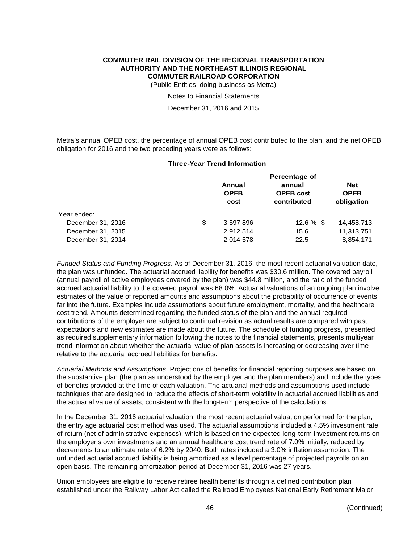(Public Entities, doing business as Metra)

Notes to Financial Statements

December 31, 2016 and 2015

Metra's annual OPEB cost, the percentage of annual OPEB cost contributed to the plan, and the net OPEB obligation for 2016 and the two preceding years were as follows:

#### **Three-Year Trend Information**

|                   | Percentage of                 |                                           |                                         |  |
|-------------------|-------------------------------|-------------------------------------------|-----------------------------------------|--|
|                   | Annual<br><b>OPEB</b><br>cost | annual<br><b>OPEB cost</b><br>contributed | <b>Net</b><br><b>OPEB</b><br>obligation |  |
| Year ended:       |                               |                                           |                                         |  |
| December 31, 2016 | \$<br>3,597,896               | $12.6\%$ \$                               | 14,458,713                              |  |
| December 31, 2015 | 2,912,514                     | 15.6                                      | 11,313,751                              |  |
| December 31, 2014 | 2,014,578                     | 22.5                                      | 8,854,171                               |  |

*Funded Status and Funding Progress*. As of December 31, 2016, the most recent actuarial valuation date, the plan was unfunded. The actuarial accrued liability for benefits was \$30.6 million. The covered payroll (annual payroll of active employees covered by the plan) was \$44.8 million, and the ratio of the funded accrued actuarial liability to the covered payroll was 68.0%. Actuarial valuations of an ongoing plan involve estimates of the value of reported amounts and assumptions about the probability of occurrence of events far into the future. Examples include assumptions about future employment, mortality, and the healthcare cost trend. Amounts determined regarding the funded status of the plan and the annual required contributions of the employer are subject to continual revision as actual results are compared with past expectations and new estimates are made about the future. The schedule of funding progress, presented as required supplementary information following the notes to the financial statements, presents multiyear trend information about whether the actuarial value of plan assets is increasing or decreasing over time relative to the actuarial accrued liabilities for benefits.

*Actuarial Methods and Assumptions*. Projections of benefits for financial reporting purposes are based on the substantive plan (the plan as understood by the employer and the plan members) and include the types of benefits provided at the time of each valuation. The actuarial methods and assumptions used include techniques that are designed to reduce the effects of short-term volatility in actuarial accrued liabilities and the actuarial value of assets, consistent with the long-term perspective of the calculations.

In the December 31, 2016 actuarial valuation, the most recent actuarial valuation performed for the plan, the entry age actuarial cost method was used. The actuarial assumptions included a 4.5% investment rate of return (net of administrative expenses), which is based on the expected long-term investment returns on the employer's own investments and an annual healthcare cost trend rate of 7.0% initially, reduced by decrements to an ultimate rate of 6.2% by 2040. Both rates included a 3.0% inflation assumption. The unfunded actuarial accrued liability is being amortized as a level percentage of projected payrolls on an open basis. The remaining amortization period at December 31, 2016 was 27 years.

Union employees are eligible to receive retiree health benefits through a defined contribution plan established under the Railway Labor Act called the Railroad Employees National Early Retirement Major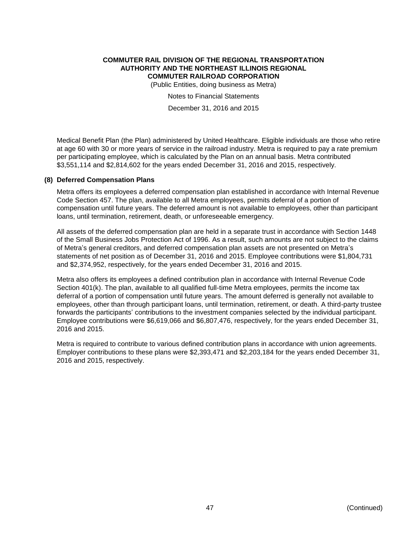(Public Entities, doing business as Metra)

Notes to Financial Statements

December 31, 2016 and 2015

Medical Benefit Plan (the Plan) administered by United Healthcare. Eligible individuals are those who retire at age 60 with 30 or more years of service in the railroad industry. Metra is required to pay a rate premium per participating employee, which is calculated by the Plan on an annual basis. Metra contributed \$3,551,114 and \$2,814,602 for the years ended December 31, 2016 and 2015, respectively.

#### **(8) Deferred Compensation Plans**

Metra offers its employees a deferred compensation plan established in accordance with Internal Revenue Code Section 457. The plan, available to all Metra employees, permits deferral of a portion of compensation until future years. The deferred amount is not available to employees, other than participant loans, until termination, retirement, death, or unforeseeable emergency.

All assets of the deferred compensation plan are held in a separate trust in accordance with Section 1448 of the Small Business Jobs Protection Act of 1996. As a result, such amounts are not subject to the claims of Metra's general creditors, and deferred compensation plan assets are not presented on Metra's statements of net position as of December 31, 2016 and 2015. Employee contributions were \$1,804,731 and \$2,374,952, respectively, for the years ended December 31, 2016 and 2015.

Metra also offers its employees a defined contribution plan in accordance with Internal Revenue Code Section 401(k). The plan, available to all qualified full-time Metra employees, permits the income tax deferral of a portion of compensation until future years. The amount deferred is generally not available to employees, other than through participant loans, until termination, retirement, or death. A third-party trustee forwards the participants' contributions to the investment companies selected by the individual participant. Employee contributions were \$6,619,066 and \$6,807,476, respectively, for the years ended December 31, 2016 and 2015.

Metra is required to contribute to various defined contribution plans in accordance with union agreements. Employer contributions to these plans were \$2,393,471 and \$2,203,184 for the years ended December 31, 2016 and 2015, respectively.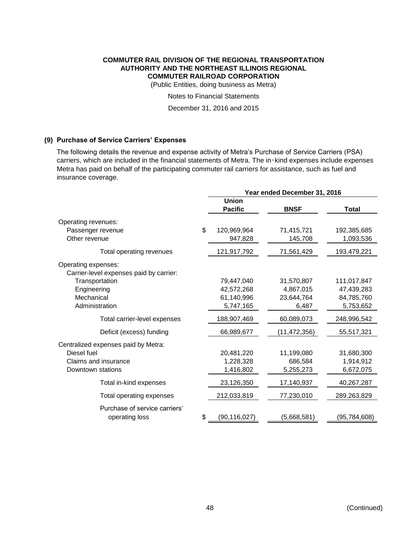(Public Entities, doing business as Metra)

Notes to Financial Statements

December 31, 2016 and 2015

### **(9) Purchase of Service Carriers' Expenses**

The following details the revenue and expense activity of Metra's Purchase of Service Carriers (PSA) carriers, which are included in the financial statements of Metra. The in‑kind expenses include expenses Metra has paid on behalf of the participating commuter rail carriers for assistance, such as fuel and insurance coverage.

|                                                                | Year ended December 31, 2016   |                |                |  |  |
|----------------------------------------------------------------|--------------------------------|----------------|----------------|--|--|
|                                                                | <b>Union</b><br><b>Pacific</b> | <b>BNSF</b>    | <b>Total</b>   |  |  |
| Operating revenues:<br>Passenger revenue                       | \$<br>120,969,964              | 71,415,721     | 192,385,685    |  |  |
| Other revenue                                                  | 947,828                        | 145,708        | 1,093,536      |  |  |
| Total operating revenues                                       | 121,917,792                    | 71,561,429     | 193,479,221    |  |  |
| Operating expenses:<br>Carrier-level expenses paid by carrier: |                                |                |                |  |  |
| Transportation                                                 | 79,447,040                     | 31,570,807     | 111,017,847    |  |  |
| Engineering                                                    | 42,572,268                     | 4,867,015      | 47,439,283     |  |  |
| Mechanical                                                     | 61,140,996                     | 23,644,764     | 84,785,760     |  |  |
| Administration                                                 | 5,747,165                      | 6,487          | 5,753,652      |  |  |
| Total carrier-level expenses                                   | 188,907,469                    | 60,089,073     | 248,996,542    |  |  |
| Deficit (excess) funding                                       | 66,989,677                     | (11, 472, 356) | 55,517,321     |  |  |
| Centralized expenses paid by Metra:                            |                                |                |                |  |  |
| Diesel fuel                                                    | 20,481,220                     | 11,199,080     | 31,680,300     |  |  |
| Claims and insurance                                           | 1,228,328                      | 686,584        | 1,914,912      |  |  |
| Downtown stations                                              | 1,416,802                      | 5,255,273      | 6,672,075      |  |  |
| Total in-kind expenses                                         | 23,126,350                     | 17,140,937     | 40,267,287     |  |  |
| Total operating expenses                                       | 212,033,819                    | 77,230,010     | 289,263,829    |  |  |
| Purchase of service carriers'<br>operating loss                | \$<br>(90, 116, 027)           | (5,668,581)    | (95, 784, 608) |  |  |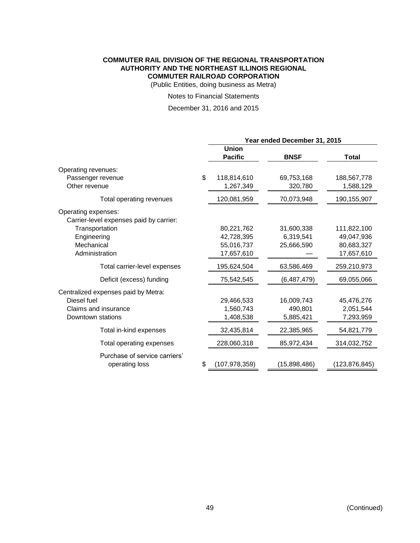(Public Entities, doing business as Metra)

Notes to Financial Statements

December 31, 2016 and 2015

|                                                                | Year ended December 31, 2015   |                       |                          |  |
|----------------------------------------------------------------|--------------------------------|-----------------------|--------------------------|--|
|                                                                | <b>Union</b><br><b>Pacific</b> | <b>BNSF</b>           | <b>Total</b>             |  |
| Operating revenues:<br>Passenger revenue<br>Other revenue      | \$<br>118,814,610<br>1,267,349 | 69,753,168<br>320,780 | 188,567,778<br>1,588,129 |  |
| Total operating revenues                                       | 120,081,959                    | 70,073,948            | 190,155,907              |  |
| Operating expenses:<br>Carrier-level expenses paid by carrier: |                                |                       |                          |  |
| Transportation                                                 | 80,221,762                     | 31,600,338            | 111,822,100              |  |
| Engineering                                                    | 42,728,395                     | 6,319,541             | 49,047,936               |  |
| Mechanical                                                     | 55,016,737                     | 25,666,590            | 80,683,327               |  |
| Administration                                                 | 17,657,610                     |                       | 17,657,610               |  |
| Total carrier-level expenses                                   | 195,624,504                    | 63,586,469            | 259,210,973              |  |
| Deficit (excess) funding                                       | 75,542,545                     | (6,487,479)           | 69,055,066               |  |
| Centralized expenses paid by Metra:                            |                                |                       |                          |  |
| Diesel fuel                                                    | 29,466,533                     | 16,009,743            | 45,476,276               |  |
| Claims and insurance                                           | 1,560,743                      | 490,801               | 2,051,544                |  |
| Downtown stations                                              | 1,408,538                      | 5,885,421             | 7,293,959                |  |
| Total in-kind expenses                                         | 32,435,814                     | 22,385,965            | 54,821,779               |  |
| Total operating expenses                                       | 228,060,318                    | 85,972,434            | 314,032,752              |  |
| Purchase of service carriers'<br>operating loss                | \$<br>(107,978,359)            | (15,898,486)          | (123,876,845)            |  |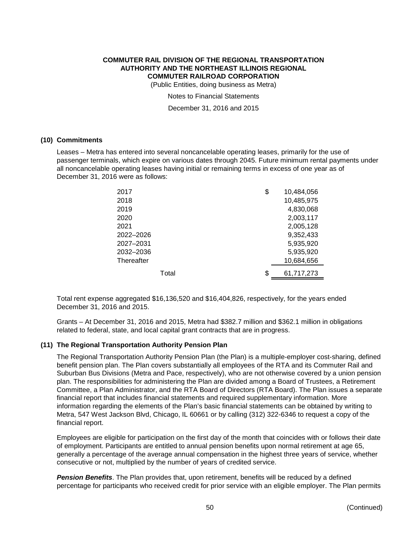(Public Entities, doing business as Metra)

Notes to Financial Statements

December 31, 2016 and 2015

### **(10) Commitments**

Leases – Metra has entered into several noncancelable operating leases, primarily for the use of passenger terminals, which expire on various dates through 2045. Future minimum rental payments under all noncancelable operating leases having initial or remaining terms in excess of one year as of December 31, 2016 were as follows:

| 2017       | \$<br>10,484,056 |
|------------|------------------|
| 2018       | 10,485,975       |
| 2019       | 4,830,068        |
| 2020       | 2,003,117        |
| 2021       | 2,005,128        |
| 2022-2026  | 9,352,433        |
| 2027-2031  | 5,935,920        |
| 2032-2036  | 5,935,920        |
| Thereafter | 10,684,656       |
| Total      | \$<br>61,717,273 |

Total rent expense aggregated \$16,136,520 and \$16,404,826, respectively, for the years ended December 31, 2016 and 2015.

Grants – At December 31, 2016 and 2015, Metra had \$382.7 million and \$362.1 million in obligations related to federal, state, and local capital grant contracts that are in progress.

#### **(11) The Regional Transportation Authority Pension Plan**

The Regional Transportation Authority Pension Plan (the Plan) is a multiple-employer cost-sharing, defined benefit pension plan. The Plan covers substantially all employees of the RTA and its Commuter Rail and Suburban Bus Divisions (Metra and Pace, respectively), who are not otherwise covered by a union pension plan. The responsibilities for administering the Plan are divided among a Board of Trustees, a Retirement Committee, a Plan Administrator, and the RTA Board of Directors (RTA Board). The Plan issues a separate financial report that includes financial statements and required supplementary information. More information regarding the elements of the Plan's basic financial statements can be obtained by writing to Metra, 547 West Jackson Blvd, Chicago, IL 60661 or by calling (312) 322-6346 to request a copy of the financial report.

Employees are eligible for participation on the first day of the month that coincides with or follows their date of employment. Participants are entitled to annual pension benefits upon normal retirement at age 65, generally a percentage of the average annual compensation in the highest three years of service, whether consecutive or not, multiplied by the number of years of credited service.

*Pension Benefits*. The Plan provides that, upon retirement, benefits will be reduced by a defined percentage for participants who received credit for prior service with an eligible employer. The Plan permits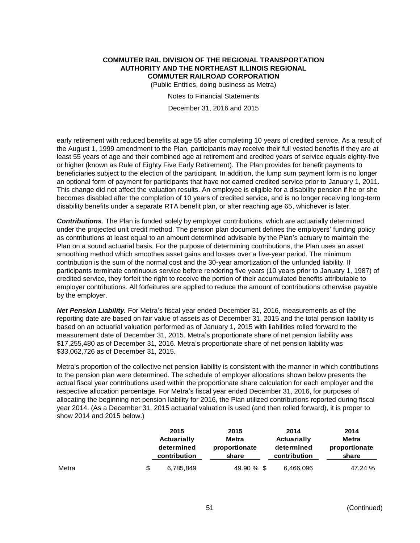(Public Entities, doing business as Metra)

Notes to Financial Statements

December 31, 2016 and 2015

early retirement with reduced benefits at age 55 after completing 10 years of credited service. As a result of the August 1, 1999 amendment to the Plan, participants may receive their full vested benefits if they are at least 55 years of age and their combined age at retirement and credited years of service equals eighty-five or higher (known as Rule of Eighty Five Early Retirement). The Plan provides for benefit payments to beneficiaries subject to the election of the participant. In addition, the lump sum payment form is no longer an optional form of payment for participants that have not earned credited service prior to January 1, 2011. This change did not affect the valuation results. An employee is eligible for a disability pension if he or she becomes disabled after the completion of 10 years of credited service, and is no longer receiving long-term disability benefits under a separate RTA benefit plan, or after reaching age 65, whichever is later.

*Contributions*. The Plan is funded solely by employer contributions, which are actuarially determined under the projected unit credit method. The pension plan document defines the employers' funding policy as contributions at least equal to an amount determined advisable by the Plan's actuary to maintain the Plan on a sound actuarial basis. For the purpose of determining contributions, the Plan uses an asset smoothing method which smoothes asset gains and losses over a five-year period. The minimum contribution is the sum of the normal cost and the 30-year amortization of the unfunded liability. If participants terminate continuous service before rendering five years (10 years prior to January 1, 1987) of credited service, they forfeit the right to receive the portion of their accumulated benefits attributable to employer contributions. All forfeitures are applied to reduce the amount of contributions otherwise payable by the employer.

*Net Pension Liability.* For Metra's fiscal year ended December 31, 2016, measurements as of the reporting date are based on fair value of assets as of December 31, 2015 and the total pension liability is based on an actuarial valuation performed as of January 1, 2015 with liabilities rolled forward to the measurement date of December 31, 2015. Metra's proportionate share of net pension liability was \$17,255,480 as of December 31, 2016. Metra's proportionate share of net pension liability was \$33,062,726 as of December 31, 2015.

Metra's proportion of the collective net pension liability is consistent with the manner in which contributions to the pension plan were determined. The schedule of employer allocations shown below presents the actual fiscal year contributions used within the proportionate share calculation for each employer and the respective allocation percentage. For Metra's fiscal year ended December 31, 2016, for purposes of allocating the beginning net pension liability for 2016, the Plan utilized contributions reported during fiscal year 2014. (As a December 31, 2015 actuarial valuation is used (and then rolled forward), it is proper to show 2014 and 2015 below.)

|       | 2015                                      | 2015                            | 2014                                      | 2014                            |
|-------|-------------------------------------------|---------------------------------|-------------------------------------------|---------------------------------|
|       | Actuarially<br>determined<br>contribution | Metra<br>proportionate<br>share | Actuarially<br>determined<br>contribution | Metra<br>proportionate<br>share |
| Metra | 6,785,849                                 | 49.90 % \$                      | 6,466,096                                 | 47.24 %                         |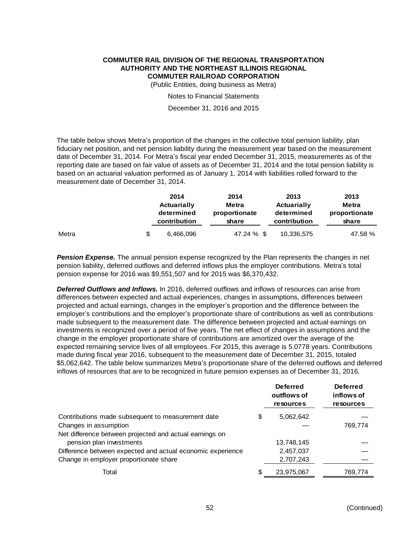(Public Entities, doing business as Metra)

Notes to Financial Statements

December 31, 2016 and 2015

The table below shows Metra's proportion of the changes in the collective total pension liability, plan fiduciary net position, and net pension liability during the measurement year based on the measurement date of December 31, 2014. For Metra's fiscal year ended December 31, 2015, measurements as of the reporting date are based on fair value of assets as of December 31, 2014 and the total pension liability is based on an actuarial valuation performed as of January 1, 2014 with liabilities rolled forward to the measurement date of December 31, 2014.

|       | 2014                                      | 2014                            | 2013                                      | 2013                            |
|-------|-------------------------------------------|---------------------------------|-------------------------------------------|---------------------------------|
|       | Actuarially<br>determined<br>contribution | Metra<br>proportionate<br>share | Actuarially<br>determined<br>contribution | Metra<br>proportionate<br>share |
| Metra | 6,466,096                                 | 47.24 % \$                      | 10,336,575                                | 47.58 %                         |

*Pension Expense.* The annual pension expense recognized by the Plan represents the changes in net pension liability, deferred outflows and deferred inflows plus the employer contributions. Metra's total pension expense for 2016 was \$9,551,507 and for 2015 was \$6,370,432.

*Deferred Outflows and Inflows.* In 2016, deferred outflows and inflows of resources can arise from differences between expected and actual experiences, changes in assumptions, differences between projected and actual earnings, changes in the employer's proportion and the difference between the employer's contributions and the employer's proportionate share of contributions as well as contributions made subsequent to the measurement date. The difference between projected and actual earnings on investments is recognized over a period of five years. The net effect of changes in assumptions and the change in the employer proportionate share of contributions are amortized over the average of the expected remaining service lives of all employees. For 2015, this average is 5.0778 years. Contributions made during fiscal year 2016, subsequent to the measurement date of December 31, 2015, totaled \$5,062,642. The table below summarizes Metra's proportionate share of the deferred outflows and deferred inflows of resources that are to be recognized in future pension expenses as of December 31, 2016.

|                                                            | <b>Deferred</b><br>outflows of<br>resources | <b>Deferred</b><br>inflows of<br>resources |
|------------------------------------------------------------|---------------------------------------------|--------------------------------------------|
| Contributions made subsequent to measurement date          | \$<br>5,062,642                             |                                            |
| Changes in assumption                                      |                                             | 769,774                                    |
| Net difference between projected and actual earnings on    |                                             |                                            |
| pension plan investments                                   | 13,748,145                                  |                                            |
| Difference between expected and actual economic experience | 2,457,037                                   |                                            |
| Change in employer proportionate share                     | 2,707,243                                   |                                            |
| Total                                                      | \$<br>23.975.067                            | 769.774                                    |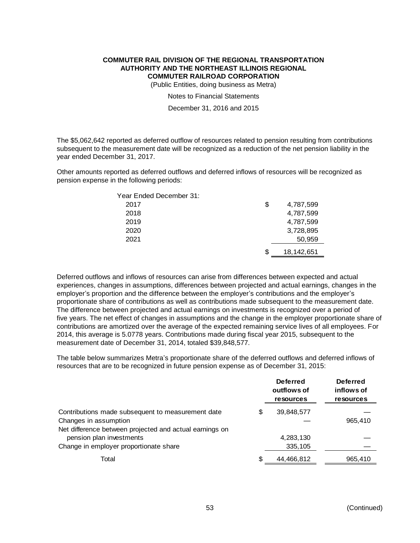(Public Entities, doing business as Metra)

Notes to Financial Statements

December 31, 2016 and 2015

The \$5,062,642 reported as deferred outflow of resources related to pension resulting from contributions subsequent to the measurement date will be recognized as a reduction of the net pension liability in the year ended December 31, 2017.

Other amounts reported as deferred outflows and deferred inflows of resources will be recognized as pension expense in the following periods:

| Year Ended December 31: |    |              |
|-------------------------|----|--------------|
| 2017                    | \$ | 4,787,599    |
| 2018                    |    | 4,787,599    |
| 2019                    |    | 4,787,599    |
| 2020                    |    | 3,728,895    |
| 2021                    |    | 50,959       |
|                         | S  | 18, 142, 651 |

Deferred outflows and inflows of resources can arise from differences between expected and actual experiences, changes in assumptions, differences between projected and actual earnings, changes in the employer's proportion and the difference between the employer's contributions and the employer's proportionate share of contributions as well as contributions made subsequent to the measurement date. The difference between projected and actual earnings on investments is recognized over a period of five years. The net effect of changes in assumptions and the change in the employer proportionate share of contributions are amortized over the average of the expected remaining service lives of all employees. For 2014, this average is 5.0778 years. Contributions made during fiscal year 2015, subsequent to the measurement date of December 31, 2014, totaled \$39,848,577.

The table below summarizes Metra's proportionate share of the deferred outflows and deferred inflows of resources that are to be recognized in future pension expense as of December 31, 2015:

|                                                                                                                                       | <b>Deferred</b><br>outflows of<br>resources | <b>Deferred</b><br>inflows of<br><b>resources</b> |
|---------------------------------------------------------------------------------------------------------------------------------------|---------------------------------------------|---------------------------------------------------|
| Contributions made subsequent to measurement date<br>Changes in assumption<br>Net difference between projected and actual earnings on | \$<br>39,848,577                            | 965,410                                           |
| pension plan investments<br>Change in employer proportionate share                                                                    | 4,283,130<br>335,105                        |                                                   |
| Total                                                                                                                                 | 44,466,812                                  | 965,410                                           |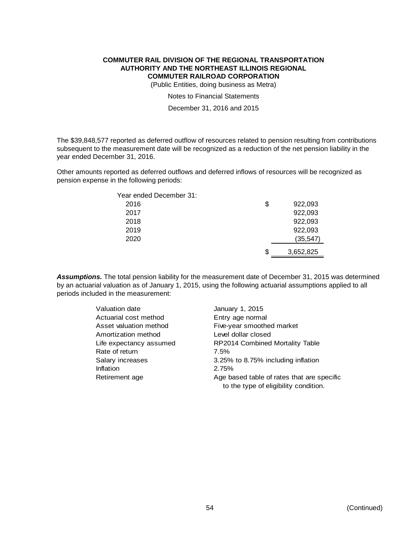(Public Entities, doing business as Metra)

Notes to Financial Statements

December 31, 2016 and 2015

The \$39,848,577 reported as deferred outflow of resources related to pension resulting from contributions subsequent to the measurement date will be recognized as a reduction of the net pension liability in the year ended December 31, 2016.

Other amounts reported as deferred outflows and deferred inflows of resources will be recognized as pension expense in the following periods:

| Year ended December 31: |                 |
|-------------------------|-----------------|
| 2016                    | \$<br>922,093   |
| 2017                    | 922,093         |
| 2018                    | 922,093         |
| 2019                    | 922,093         |
| 2020                    | (35, 547)       |
|                         | \$<br>3,652,825 |

*Assumptions.* The total pension liability for the measurement date of December 31, 2015 was determined by an actuarial valuation as of January 1, 2015, using the following actuarial assumptions applied to all periods included in the measurement:

| Valuation date          | January 1, 2015                            |
|-------------------------|--------------------------------------------|
| Actuarial cost method   | Entry age normal                           |
| Asset valuation method  | Five-year smoothed market                  |
| Amortization method     | Level dollar closed                        |
| Life expectancy assumed | RP2014 Combined Mortality Table            |
| Rate of return          | 7.5%                                       |
| Salary increases        | 3.25% to 8.75% including inflation         |
| Inflation               | 2.75%                                      |
| Retirement age          | Age based table of rates that are specific |
|                         | to the type of eligibility condition.      |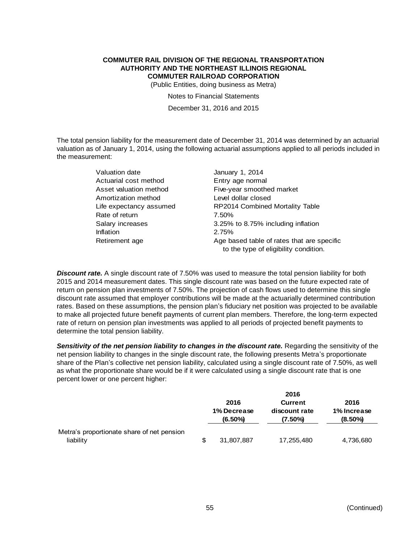(Public Entities, doing business as Metra)

Notes to Financial Statements

December 31, 2016 and 2015

The total pension liability for the measurement date of December 31, 2014 was determined by an actuarial valuation as of January 1, 2014, using the following actuarial assumptions applied to all periods included in the measurement:

| Valuation date          | January 1, 2014                            |
|-------------------------|--------------------------------------------|
| Actuarial cost method   | Entry age normal                           |
| Asset valuation method  | Five-year smoothed market                  |
| Amortization method     | Level dollar closed                        |
| Life expectancy assumed | RP2014 Combined Mortality Table            |
| Rate of return          | 7.50%                                      |
| Salary increases        | 3.25% to 8.75% including inflation         |
| <b>Inflation</b>        | 2.75%                                      |
| Retirement age          | Age based table of rates that are specific |
|                         | to the type of eligibility condition.      |

*Discount rate.* A single discount rate of 7.50% was used to measure the total pension liability for both 2015 and 2014 measurement dates. This single discount rate was based on the future expected rate of return on pension plan investments of 7.50%. The projection of cash flows used to determine this single discount rate assumed that employer contributions will be made at the actuarially determined contribution rates. Based on these assumptions, the pension plan's fiduciary net position was projected to be available to make all projected future benefit payments of current plan members. Therefore, the long-term expected rate of return on pension plan investments was applied to all periods of projected benefit payments to determine the total pension liability.

Sensitivity of the net pension liability to changes in the discount rate. Regarding the sensitivity of the net pension liability to changes in the single discount rate, the following presents Metra's proportionate share of the Plan's collective net pension liability, calculated using a single discount rate of 7.50%, as well as what the proportionate share would be if it were calculated using a single discount rate that is one percent lower or one percent higher:

|                                            | 2016 |                                |                                            |                                   |
|--------------------------------------------|------|--------------------------------|--------------------------------------------|-----------------------------------|
|                                            |      | 2016<br>1% Decrease<br>(6.50%) | <b>Current</b><br>discount rate<br>(7.50%) | 2016<br>1% Increase<br>$(8.50\%)$ |
| Metra's proportionate share of net pension |      |                                |                                            |                                   |
| liability                                  | \$   | 31,807,887                     | 17,255,480                                 | 4,736,680                         |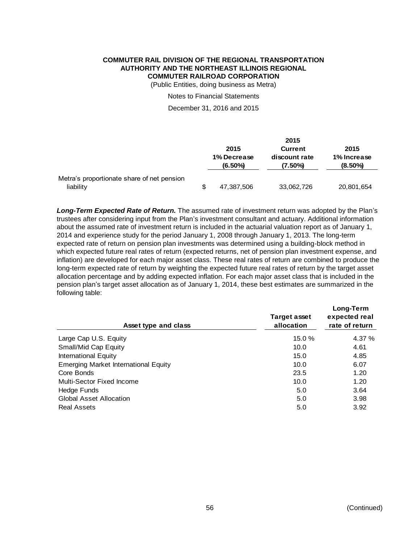(Public Entities, doing business as Metra)

Notes to Financial Statements

December 31, 2016 and 2015

|                                                         | 2015                      |                          |                           |  |
|---------------------------------------------------------|---------------------------|--------------------------|---------------------------|--|
|                                                         | 2015                      | <b>Current</b>           | 2015                      |  |
|                                                         | 1% Decrease<br>$(6.50\%)$ | discount rate<br>(7.50%) | 1% Increase<br>$(8.50\%)$ |  |
| Metra's proportionate share of net pension<br>liability | \$<br>47,387,506          | 33,062,726               | 20,801,654                |  |
|                                                         |                           |                          |                           |  |

*Long-Term Expected Rate of Return.* The assumed rate of investment return was adopted by the Plan's trustees after considering input from the Plan's investment consultant and actuary. Additional information about the assumed rate of investment return is included in the actuarial valuation report as of January 1, 2014 and experience study for the period January 1, 2008 through January 1, 2013. The long-term expected rate of return on pension plan investments was determined using a building-block method in which expected future real rates of return (expected returns, net of pension plan investment expense, and inflation) are developed for each major asset class. These real rates of return are combined to produce the long-term expected rate of return by weighting the expected future real rates of return by the target asset allocation percentage and by adding expected inflation. For each major asset class that is included in the pension plan's target asset allocation as of January 1, 2014, these best estimates are summarized in the following table:

| Asset type and class                        | <b>Target asset</b><br>allocation | Long-Term<br>expected real<br>rate of return |  |  |
|---------------------------------------------|-----------------------------------|----------------------------------------------|--|--|
| Large Cap U.S. Equity                       | 15.0%                             | 4.37 %                                       |  |  |
| Small/Mid Cap Equity                        | 10.0                              | 4.61                                         |  |  |
| <b>International Equity</b>                 | 15.0                              | 4.85                                         |  |  |
| <b>Emerging Market International Equity</b> | 10.0                              | 6.07                                         |  |  |
| Core Bonds                                  | 23.5                              | 1.20                                         |  |  |
| Multi-Sector Fixed Income                   | 10.0                              | 1.20                                         |  |  |
| Hedge Funds                                 | 5.0                               | 3.64                                         |  |  |
| Global Asset Allocation                     | 5.0                               | 3.98                                         |  |  |
| <b>Real Assets</b>                          | 5.0                               | 3.92                                         |  |  |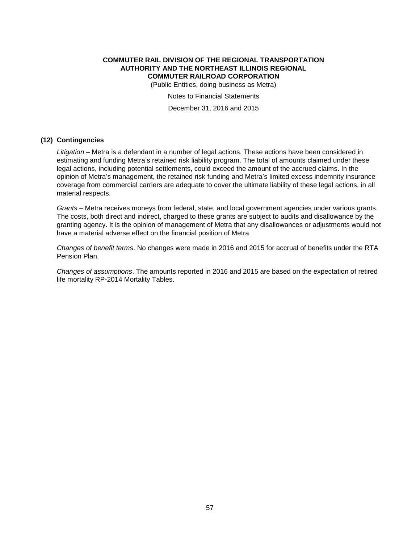(Public Entities, doing business as Metra)

Notes to Financial Statements

December 31, 2016 and 2015

#### **(12) Contingencies**

*Litigation* – Metra is a defendant in a number of legal actions. These actions have been considered in estimating and funding Metra's retained risk liability program. The total of amounts claimed under these legal actions, including potential settlements, could exceed the amount of the accrued claims. In the opinion of Metra's management, the retained risk funding and Metra's limited excess indemnity insurance coverage from commercial carriers are adequate to cover the ultimate liability of these legal actions, in all material respects.

*Grants* – Metra receives moneys from federal, state, and local government agencies under various grants. The costs, both direct and indirect, charged to these grants are subject to audits and disallowance by the granting agency. It is the opinion of management of Metra that any disallowances or adjustments would not have a material adverse effect on the financial position of Metra.

*Changes of benefit terms*. No changes were made in 2016 and 2015 for accrual of benefits under the RTA Pension Plan.

*Changes of assumptions*. The amounts reported in 2016 and 2015 are based on the expectation of retired life mortality RP-2014 Mortality Tables.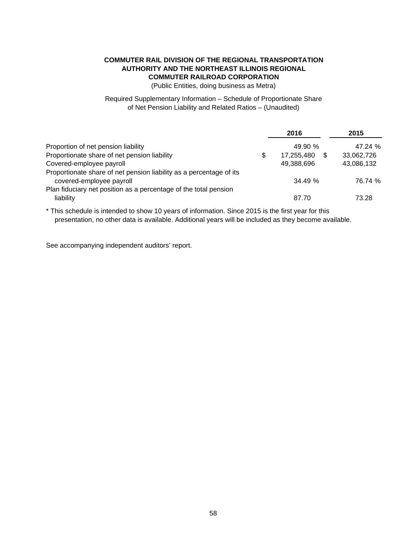(Public Entities, doing business as Metra)

Required Supplementary Information – Schedule of Proportionate Share of Net Pension Liability and Related Ratios – (Unaudited)

|                                                                                                 | 2016                  | 2015       |
|-------------------------------------------------------------------------------------------------|-----------------------|------------|
| Proportion of net pension liability                                                             | 49.90 %               | 47.24 %    |
| Proportionate share of net pension liability                                                    | \$<br>17,255,480<br>S | 33,062,726 |
| Covered-employee payroll                                                                        | 49,388,696            | 43,086,132 |
| Proportionate share of net pension liability as a percentage of its<br>covered-employee payroll | 34.49%                | 76.74 %    |
| Plan fiduciary net position as a percentage of the total pension<br>liability                   | 87.70                 | 73.28      |

\* This schedule is intended to show 10 years of information. Since 2015 is the first year for this presentation, no other data is available. Additional years will be included as they become available.

See accompanying independent auditors' report.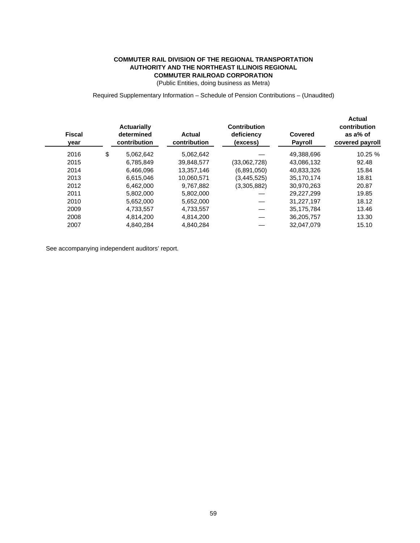(Public Entities, doing business as Metra)

Required Supplementary Information – Schedule of Pension Contributions – (Unaudited)

| <b>Fiscal</b><br>year | <b>Actuarially</b><br>determined<br>contribution | Actual<br>contribution | <b>Contribution</b><br>deficiency<br>(excess) | Covered<br><b>Payroll</b> | Actual<br>contribution<br>as a% of<br>covered payroll |
|-----------------------|--------------------------------------------------|------------------------|-----------------------------------------------|---------------------------|-------------------------------------------------------|
| 2016                  | \$<br>5.062.642                                  | 5.062.642              |                                               | 49.388.696                | 10.25 %                                               |
| 2015                  | 6.785.849                                        | 39,848,577             | (33,062,728)                                  | 43,086,132                | 92.48                                                 |
| 2014                  | 6.466.096                                        | 13,357,146             | (6,891,050)                                   | 40,833,326                | 15.84                                                 |
| 2013                  | 6.615.046                                        | 10.060.571             | (3,445,525)                                   | 35.170.174                | 18.81                                                 |
| 2012                  | 6.462.000                                        | 9,767,882              | (3,305,882)                                   | 30,970,263                | 20.87                                                 |
| 2011                  | 5,802,000                                        | 5,802,000              |                                               | 29,227,299                | 19.85                                                 |
| 2010                  | 5.652.000                                        | 5.652.000              |                                               | 31.227.197                | 18.12                                                 |
| 2009                  | 4,733,557                                        | 4,733,557              |                                               | 35, 175, 784              | 13.46                                                 |
| 2008                  | 4.814.200                                        | 4,814,200              |                                               | 36,205,757                | 13.30                                                 |
| 2007                  | 4.840.284                                        | 4.840.284              |                                               | 32.047.079                | 15.10                                                 |
|                       |                                                  |                        |                                               |                           |                                                       |

See accompanying independent auditors' report.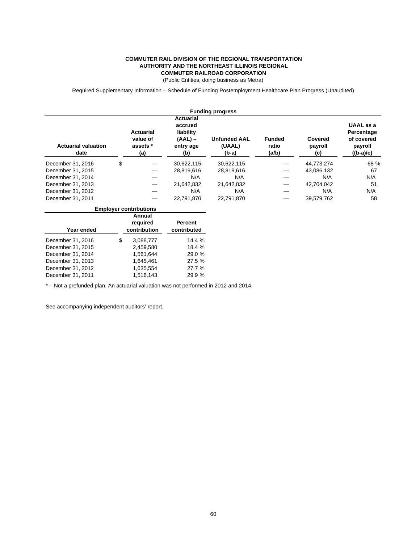(Public Entities, doing business as Metra)

Required Supplementary Information – Schedule of Funding Postemployment Healthcare Plan Progress (Unaudited)

|                                    |                                                 |                                                                           | <b>Funding progress</b>                  |                                 |                           |                                                                 |
|------------------------------------|-------------------------------------------------|---------------------------------------------------------------------------|------------------------------------------|---------------------------------|---------------------------|-----------------------------------------------------------------|
| <b>Actuarial valuation</b><br>date | <b>Actuarial</b><br>value of<br>assets *<br>(a) | <b>Actuarial</b><br>accrued<br>liability<br>$(AAL)$ –<br>entry age<br>(b) | <b>Unfunded AAL</b><br>(UAAL)<br>$(b-a)$ | <b>Funded</b><br>ratio<br>(a/b) | Covered<br>payroll<br>(c) | UAAL as a<br>Percentage<br>of covered<br>payroll<br>$((b-a)/c)$ |
| December 31, 2016                  | \$                                              | 30,622,115                                                                | 30,622,115                               |                                 | 44,773,274                | 68 %                                                            |
| December 31, 2015                  | –                                               | 28,819,616                                                                | 28,819,616                               |                                 | 43,086,132                | 67                                                              |
| December 31, 2014                  |                                                 | N/A                                                                       | N/A                                      |                                 | N/A                       | N/A                                                             |
| December 31, 2013                  |                                                 | 21,642,832                                                                | 21,642,832                               |                                 | 42,704,042                | 51                                                              |
| December 31, 2012                  |                                                 | N/A                                                                       | N/A                                      |                                 | N/A                       | N/A                                                             |
| December 31, 2011                  |                                                 | 22.791.870                                                                | 22.791.870                               |                                 | 39,579,762                | 58                                                              |
|                                    | <b>Employer contributions</b>                   |                                                                           |                                          |                                 |                           |                                                                 |
|                                    | Annual<br>reauired                              | Percent                                                                   |                                          |                                 |                           |                                                                 |

| Year ended        |   | required<br>contribution | <b>Percent</b><br>contributed |
|-------------------|---|--------------------------|-------------------------------|
| December 31, 2016 | S | 3.088.777                | 14.4%                         |
| December 31, 2015 |   | 2.459.580                | 18.4 %                        |
| December 31, 2014 |   | 1.561.644                | 29.0 %                        |
| December 31, 2013 |   | 1.645.461                | 27.5 %                        |
| December 31, 2012 |   | 1,635,554                | 27.7 %                        |
| December 31, 2011 |   | 1.516.143                | 29.9 %                        |

\* – Not a prefunded plan. An actuarial valuation was not performed in 2012 and 2014.

See accompanying independent auditors' report.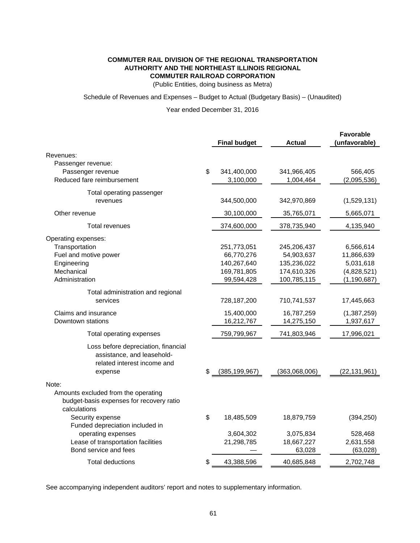(Public Entities, doing business as Metra)

Schedule of Revenues and Expenses – Budget to Actual (Budgetary Basis) – (Unaudited)

Year ended December 31, 2016

| Revenues:<br>Passenger revenue:<br>\$<br>341,400,000<br>341,966,405<br>Passenger revenue<br>566,405<br>Reduced fare reimbursement<br>3,100,000<br>(2,095,536)<br>1,004,464<br>Total operating passenger<br>344,500,000<br>342,970,869<br>(1,529,131)<br>revenues<br>Other revenue<br>30,100,000<br>35,765,071<br>5,665,071<br>Total revenues<br>4,135,940<br>374,600,000<br>378,735,940<br>Operating expenses:<br>Transportation<br>245,206,437<br>6,566,614<br>251,773,051<br>Fuel and motive power<br>66,770,276<br>54,903,637<br>11,866,639<br>Engineering<br>140,267,640<br>135,236,022<br>5,031,618<br>Mechanical<br>169,781,805<br>174,610,326<br>(4,828,521)<br>Administration<br>99,594,428<br>100,785,115<br>(1, 190, 687)<br>Total administration and regional<br>services<br>728,187,200<br>710,741,537<br>17,445,663<br>16,787,259<br>Claims and insurance<br>15,400,000<br>(1, 387, 259)<br>Downtown stations<br>16,212,767<br>14,275,150<br>1,937,617<br>Total operating expenses<br>759,799,967<br>741,803,946<br>17,996,021<br>Loss before depreciation, financial<br>assistance, and leasehold-<br>related interest income and<br>\$<br>expense<br>(385, 199, 967)<br>(363,068,006)<br>(22, 131, 961)<br>Note:<br>Amounts excluded from the operating<br>budget-basis expenses for recovery ratio<br>calculations<br>\$<br>Security expense<br>18,485,509<br>18,879,759<br>(394, 250)<br>Funded depreciation included in<br>operating expenses<br>3,604,302<br>3,075,834<br>528,468<br>Lease of transportation facilities<br>21,298,785<br>18,667,227<br>2,631,558<br>Bond service and fees<br>63,028<br>(63,028)<br>\$<br><b>Total deductions</b><br>43,388,596<br>40,685,848<br>2,702,748 |  | <b>Final budget</b> | <b>Actual</b> | <b>Favorable</b><br>(unfavorable) |
|--------------------------------------------------------------------------------------------------------------------------------------------------------------------------------------------------------------------------------------------------------------------------------------------------------------------------------------------------------------------------------------------------------------------------------------------------------------------------------------------------------------------------------------------------------------------------------------------------------------------------------------------------------------------------------------------------------------------------------------------------------------------------------------------------------------------------------------------------------------------------------------------------------------------------------------------------------------------------------------------------------------------------------------------------------------------------------------------------------------------------------------------------------------------------------------------------------------------------------------------------------------------------------------------------------------------------------------------------------------------------------------------------------------------------------------------------------------------------------------------------------------------------------------------------------------------------------------------------------------------------------------------------------------------------------------------------------------|--|---------------------|---------------|-----------------------------------|
|                                                                                                                                                                                                                                                                                                                                                                                                                                                                                                                                                                                                                                                                                                                                                                                                                                                                                                                                                                                                                                                                                                                                                                                                                                                                                                                                                                                                                                                                                                                                                                                                                                                                                                              |  |                     |               |                                   |
|                                                                                                                                                                                                                                                                                                                                                                                                                                                                                                                                                                                                                                                                                                                                                                                                                                                                                                                                                                                                                                                                                                                                                                                                                                                                                                                                                                                                                                                                                                                                                                                                                                                                                                              |  |                     |               |                                   |
|                                                                                                                                                                                                                                                                                                                                                                                                                                                                                                                                                                                                                                                                                                                                                                                                                                                                                                                                                                                                                                                                                                                                                                                                                                                                                                                                                                                                                                                                                                                                                                                                                                                                                                              |  |                     |               |                                   |
|                                                                                                                                                                                                                                                                                                                                                                                                                                                                                                                                                                                                                                                                                                                                                                                                                                                                                                                                                                                                                                                                                                                                                                                                                                                                                                                                                                                                                                                                                                                                                                                                                                                                                                              |  |                     |               |                                   |
|                                                                                                                                                                                                                                                                                                                                                                                                                                                                                                                                                                                                                                                                                                                                                                                                                                                                                                                                                                                                                                                                                                                                                                                                                                                                                                                                                                                                                                                                                                                                                                                                                                                                                                              |  |                     |               |                                   |
|                                                                                                                                                                                                                                                                                                                                                                                                                                                                                                                                                                                                                                                                                                                                                                                                                                                                                                                                                                                                                                                                                                                                                                                                                                                                                                                                                                                                                                                                                                                                                                                                                                                                                                              |  |                     |               |                                   |
|                                                                                                                                                                                                                                                                                                                                                                                                                                                                                                                                                                                                                                                                                                                                                                                                                                                                                                                                                                                                                                                                                                                                                                                                                                                                                                                                                                                                                                                                                                                                                                                                                                                                                                              |  |                     |               |                                   |
|                                                                                                                                                                                                                                                                                                                                                                                                                                                                                                                                                                                                                                                                                                                                                                                                                                                                                                                                                                                                                                                                                                                                                                                                                                                                                                                                                                                                                                                                                                                                                                                                                                                                                                              |  |                     |               |                                   |
|                                                                                                                                                                                                                                                                                                                                                                                                                                                                                                                                                                                                                                                                                                                                                                                                                                                                                                                                                                                                                                                                                                                                                                                                                                                                                                                                                                                                                                                                                                                                                                                                                                                                                                              |  |                     |               |                                   |
|                                                                                                                                                                                                                                                                                                                                                                                                                                                                                                                                                                                                                                                                                                                                                                                                                                                                                                                                                                                                                                                                                                                                                                                                                                                                                                                                                                                                                                                                                                                                                                                                                                                                                                              |  |                     |               |                                   |
|                                                                                                                                                                                                                                                                                                                                                                                                                                                                                                                                                                                                                                                                                                                                                                                                                                                                                                                                                                                                                                                                                                                                                                                                                                                                                                                                                                                                                                                                                                                                                                                                                                                                                                              |  |                     |               |                                   |
|                                                                                                                                                                                                                                                                                                                                                                                                                                                                                                                                                                                                                                                                                                                                                                                                                                                                                                                                                                                                                                                                                                                                                                                                                                                                                                                                                                                                                                                                                                                                                                                                                                                                                                              |  |                     |               |                                   |
|                                                                                                                                                                                                                                                                                                                                                                                                                                                                                                                                                                                                                                                                                                                                                                                                                                                                                                                                                                                                                                                                                                                                                                                                                                                                                                                                                                                                                                                                                                                                                                                                                                                                                                              |  |                     |               |                                   |
|                                                                                                                                                                                                                                                                                                                                                                                                                                                                                                                                                                                                                                                                                                                                                                                                                                                                                                                                                                                                                                                                                                                                                                                                                                                                                                                                                                                                                                                                                                                                                                                                                                                                                                              |  |                     |               |                                   |
|                                                                                                                                                                                                                                                                                                                                                                                                                                                                                                                                                                                                                                                                                                                                                                                                                                                                                                                                                                                                                                                                                                                                                                                                                                                                                                                                                                                                                                                                                                                                                                                                                                                                                                              |  |                     |               |                                   |
|                                                                                                                                                                                                                                                                                                                                                                                                                                                                                                                                                                                                                                                                                                                                                                                                                                                                                                                                                                                                                                                                                                                                                                                                                                                                                                                                                                                                                                                                                                                                                                                                                                                                                                              |  |                     |               |                                   |
|                                                                                                                                                                                                                                                                                                                                                                                                                                                                                                                                                                                                                                                                                                                                                                                                                                                                                                                                                                                                                                                                                                                                                                                                                                                                                                                                                                                                                                                                                                                                                                                                                                                                                                              |  |                     |               |                                   |
|                                                                                                                                                                                                                                                                                                                                                                                                                                                                                                                                                                                                                                                                                                                                                                                                                                                                                                                                                                                                                                                                                                                                                                                                                                                                                                                                                                                                                                                                                                                                                                                                                                                                                                              |  |                     |               |                                   |
|                                                                                                                                                                                                                                                                                                                                                                                                                                                                                                                                                                                                                                                                                                                                                                                                                                                                                                                                                                                                                                                                                                                                                                                                                                                                                                                                                                                                                                                                                                                                                                                                                                                                                                              |  |                     |               |                                   |
|                                                                                                                                                                                                                                                                                                                                                                                                                                                                                                                                                                                                                                                                                                                                                                                                                                                                                                                                                                                                                                                                                                                                                                                                                                                                                                                                                                                                                                                                                                                                                                                                                                                                                                              |  |                     |               |                                   |
|                                                                                                                                                                                                                                                                                                                                                                                                                                                                                                                                                                                                                                                                                                                                                                                                                                                                                                                                                                                                                                                                                                                                                                                                                                                                                                                                                                                                                                                                                                                                                                                                                                                                                                              |  |                     |               |                                   |
|                                                                                                                                                                                                                                                                                                                                                                                                                                                                                                                                                                                                                                                                                                                                                                                                                                                                                                                                                                                                                                                                                                                                                                                                                                                                                                                                                                                                                                                                                                                                                                                                                                                                                                              |  |                     |               |                                   |
|                                                                                                                                                                                                                                                                                                                                                                                                                                                                                                                                                                                                                                                                                                                                                                                                                                                                                                                                                                                                                                                                                                                                                                                                                                                                                                                                                                                                                                                                                                                                                                                                                                                                                                              |  |                     |               |                                   |
|                                                                                                                                                                                                                                                                                                                                                                                                                                                                                                                                                                                                                                                                                                                                                                                                                                                                                                                                                                                                                                                                                                                                                                                                                                                                                                                                                                                                                                                                                                                                                                                                                                                                                                              |  |                     |               |                                   |
|                                                                                                                                                                                                                                                                                                                                                                                                                                                                                                                                                                                                                                                                                                                                                                                                                                                                                                                                                                                                                                                                                                                                                                                                                                                                                                                                                                                                                                                                                                                                                                                                                                                                                                              |  |                     |               |                                   |
|                                                                                                                                                                                                                                                                                                                                                                                                                                                                                                                                                                                                                                                                                                                                                                                                                                                                                                                                                                                                                                                                                                                                                                                                                                                                                                                                                                                                                                                                                                                                                                                                                                                                                                              |  |                     |               |                                   |
|                                                                                                                                                                                                                                                                                                                                                                                                                                                                                                                                                                                                                                                                                                                                                                                                                                                                                                                                                                                                                                                                                                                                                                                                                                                                                                                                                                                                                                                                                                                                                                                                                                                                                                              |  |                     |               |                                   |

See accompanying independent auditors' report and notes to supplementary information.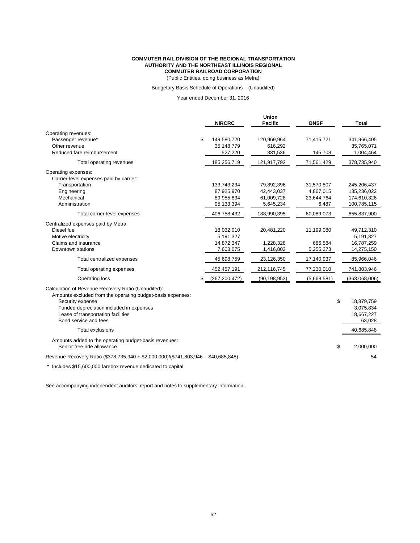(Public Entities, doing business as Metra)

Budgetary Basis Schedule of Operations – (Unaudited)

#### Year ended December 31, 2016

|                                                                                                                                                                                                                                                 | <b>NIRCRC</b>                                      | <b>Union</b><br><b>Pacific</b>         | <b>BNSF</b>                           | <b>Total</b>                                          |
|-------------------------------------------------------------------------------------------------------------------------------------------------------------------------------------------------------------------------------------------------|----------------------------------------------------|----------------------------------------|---------------------------------------|-------------------------------------------------------|
|                                                                                                                                                                                                                                                 |                                                    |                                        |                                       |                                                       |
| Operating revenues:<br>Passenger revenue*<br>Other revenue<br>Reduced fare reimbursement                                                                                                                                                        | \$<br>149,580,720<br>35,148,779<br>527,220         | 120,969,964<br>616,292<br>331,536      | 71,415,721<br>145,708                 | 341,966,405<br>35,765,071<br>1,004,464                |
| Total operating revenues                                                                                                                                                                                                                        | 185,256,719                                        | 121,917,792                            | 71,561,429                            | 378,735,940                                           |
| Operating expenses:<br>Carrier-level expenses paid by carrier:<br>Transportation<br>Engineering<br>Mechanical                                                                                                                                   | 133,743,234<br>87,925,970<br>89,955,834            | 79,892,396<br>42,443,037<br>61,009,728 | 31,570,807<br>4,867,015<br>23,644,764 | 245,206,437<br>135,236,022<br>174,610,326             |
| Administration                                                                                                                                                                                                                                  | 95,133,394                                         | 5,645,234                              | 6,487                                 | 100,785,115                                           |
| Total carrier-level expenses                                                                                                                                                                                                                    | 406,758,432                                        | 188,990,395                            | 60,089,073                            | 655,837,900                                           |
| Centralized expenses paid by Metra:<br>Diesel fuel<br>Motive electricity<br>Claims and insurance<br>Downtown stations                                                                                                                           | 18,032,010<br>5,191,327<br>14,872,347<br>7,603,075 | 20,481,220<br>1,228,328<br>1,416,802   | 11,199,080<br>686,584<br>5,255,273    | 49,712,310<br>5,191,327<br>16,787,259<br>14,275,150   |
| Total centralized expenses                                                                                                                                                                                                                      | 45,698,759                                         | 23,126,350                             | 17,140,937                            | 85,966,046                                            |
| Total operating expenses                                                                                                                                                                                                                        | 452,457,191                                        | 212,116,745                            | 77,230,010                            | 741,803,946                                           |
| Operating loss                                                                                                                                                                                                                                  | \$<br>(267, 200, 472)                              | (90, 198, 953)                         | (5,668,581)                           | (363,068,006)                                         |
| Calculation of Revenue Recovery Ratio (Unaudited):<br>Amounts excluded from the operating budget-basis expenses:<br>Security expense<br>Funded depreciation included in expenses<br>Lease of transportation facilities<br>Bond service and fees |                                                    |                                        |                                       | \$<br>18,879,759<br>3,075,834<br>18,667,227<br>63,028 |
| <b>Total exclusions</b>                                                                                                                                                                                                                         |                                                    |                                        |                                       | 40,685,848                                            |
| Amounts added to the operating budget-basis revenues:<br>Senior free ride allowance                                                                                                                                                             |                                                    |                                        |                                       | \$<br>2,000,000                                       |
| Revenue Recovery Ratio (\$378,735,940 + \$2,000,000)/(\$741,803,946 - \$40,685,848)                                                                                                                                                             |                                                    |                                        |                                       | 54                                                    |
| * Includes \$15,600,000 farebox revenue dedicated to capital                                                                                                                                                                                    |                                                    |                                        |                                       |                                                       |

See accompanying independent auditors' report and notes to supplementary information.